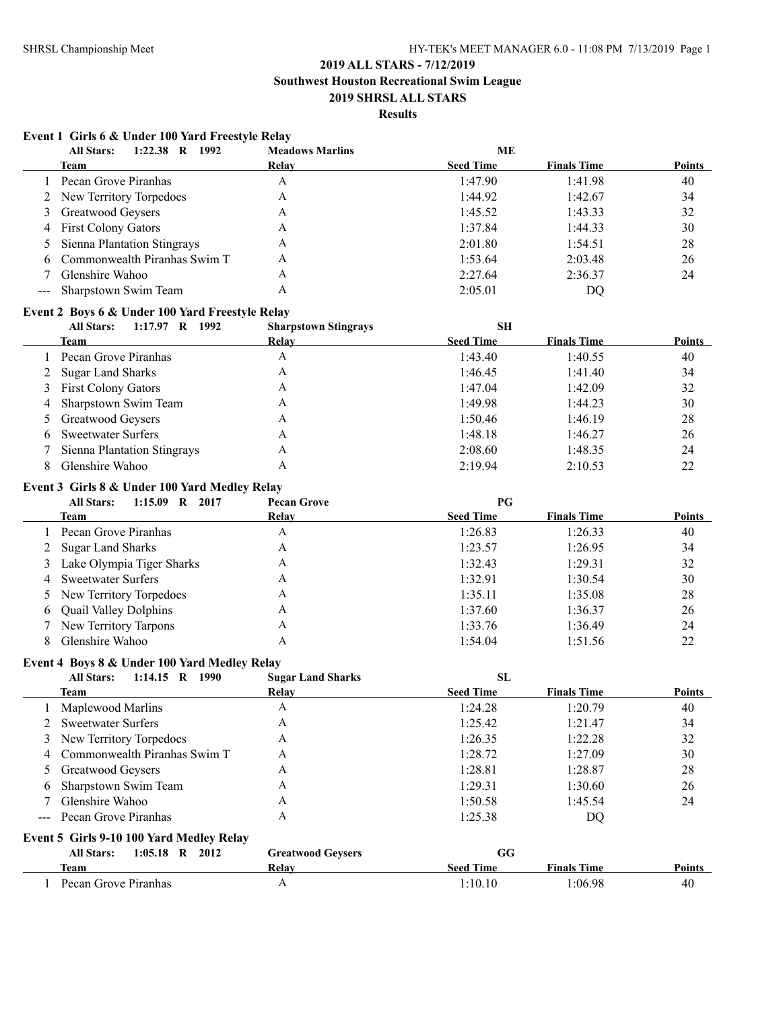# **2019 ALL STARS - 7/12/2019 Southwest Houston Recreational Swim League**

**2019 SHRSL ALL STARS**

# **Results**

### **Event 1 Girls 6 & Under 100 Yard Freestyle Relay**

|     | <b>All Stars:</b><br>1:22.38 R 1992             | <b>Meadows Marlins</b>      | <b>ME</b>        |                    |               |
|-----|-------------------------------------------------|-----------------------------|------------------|--------------------|---------------|
|     | Team                                            | Relay                       | <b>Seed Time</b> | <b>Finals Time</b> | Points        |
| 1   | Pecan Grove Piranhas                            | A                           | 1:47.90          | 1:41.98            | 40            |
| 2   | New Territory Torpedoes                         | A                           | 1:44.92          | 1:42.67            | 34            |
| 3   | Greatwood Geysers                               | A                           | 1:45.52          | 1:43.33            | 32            |
| 4   | <b>First Colony Gators</b>                      | A                           | 1:37.84          | 1:44.33            | 30            |
| 5   | Sienna Plantation Stingrays                     | A                           | 2:01.80          | 1:54.51            | 28            |
| 6   | Commonwealth Piranhas Swim T                    | A                           | 1:53.64          | 2:03.48            | 26            |
| 7   | Glenshire Wahoo                                 | A                           | 2:27.64          | 2:36.37            | 24            |
| --- | Sharpstown Swim Team                            | A                           | 2:05.01          | DQ                 |               |
|     | Event 2 Boys 6 & Under 100 Yard Freestyle Relay |                             |                  |                    |               |
|     | 1:17.97 R 1992<br><b>All Stars:</b>             | <b>Sharpstown Stingrays</b> | SH               |                    |               |
|     | Team                                            | Relay                       | <b>Seed Time</b> | <b>Finals Time</b> | Points        |
| 1   | Pecan Grove Piranhas                            | A                           | 1:43.40          | 1:40.55            | 40            |
| 2   | <b>Sugar Land Sharks</b>                        | A                           | 1:46.45          | 1:41.40            | 34            |
| 3   | <b>First Colony Gators</b>                      | A                           | 1:47.04          | 1:42.09            | 32            |
| 4   | Sharpstown Swim Team                            | A                           | 1:49.98          | 1:44.23            | 30            |
| 5   | Greatwood Geysers                               | A                           | 1:50.46          | 1:46.19            | 28            |
| 6   | <b>Sweetwater Surfers</b>                       | A                           | 1:48.18          | 1:46.27            | 26            |
| 7   | Sienna Plantation Stingrays                     | A                           | 2:08.60          | 1:48.35            | 24            |
| 8   | Glenshire Wahoo                                 | A                           |                  |                    | 22            |
|     |                                                 |                             | 2:19.94          | 2:10.53            |               |
|     | Event 3 Girls 8 & Under 100 Yard Medley Relay   |                             |                  |                    |               |
|     | <b>All Stars:</b><br>1:15.09 R 2017             | <b>Pecan Grove</b>          | PG               |                    |               |
|     | <b>Team</b>                                     | <b>Relay</b>                | <b>Seed Time</b> | <b>Finals Time</b> | Points        |
|     | Pecan Grove Piranhas                            | A                           | 1:26.83          | 1:26.33            | 40            |
| 2   | <b>Sugar Land Sharks</b>                        | A                           | 1:23.57          | 1:26.95            | 34            |
| 3   | Lake Olympia Tiger Sharks                       | A                           | 1:32.43          | 1:29.31            | 32            |
| 4   | <b>Sweetwater Surfers</b>                       | A                           | 1:32.91          | 1:30.54            | 30            |
| 5   | New Territory Torpedoes                         | A                           | 1:35.11          | 1:35.08            | 28            |
| 6   | Quail Valley Dolphins                           | A                           | 1:37.60          | 1:36.37            | 26            |
| 7   | New Territory Tarpons                           | A                           | 1:33.76          | 1:36.49            | 24            |
| 8   | Glenshire Wahoo                                 | A                           | 1:54.04          | 1:51.56            | 22            |
|     | Event 4 Boys 8 & Under 100 Yard Medley Relay    |                             |                  |                    |               |
|     | <b>All Stars:</b><br>1:14.15 R 1990             | <b>Sugar Land Sharks</b>    | <b>SL</b>        |                    |               |
|     | Team                                            | Relay                       | <b>Seed Time</b> | <b>Finals Time</b> | Points        |
|     | Maplewood Marlins                               | A                           | 1:24.28          | 1:20.79            | 40            |
|     | <b>Sweetwater Surfers</b>                       | A                           | 1:25.42          | 1:21.47            | 34            |
| 3   | New Territory Torpedoes                         | A                           | 1:26.35          | 1:22.28            | 32            |
| 4   | Commonwealth Piranhas Swim T                    | A                           | 1:28.72          | 1:27.09            | 30            |
| 5   | Greatwood Geysers                               | A                           | 1:28.81          | 1:28.87            | 28            |
| 6   | Sharpstown Swim Team                            | A                           | 1:29.31          | 1:30.60            | 26            |
|     | Glenshire Wahoo                                 | A                           | 1:50.58          | 1:45.54            | 24            |
|     | Pecan Grove Piranhas                            | A                           |                  |                    |               |
|     |                                                 |                             | 1:25.38          | DQ                 |               |
|     | Event 5 Girls 9-10 100 Yard Medley Relay        |                             |                  |                    |               |
|     | <b>All Stars:</b><br>$1:05.18$ R $2012$         | <b>Greatwood Geysers</b>    | GG               |                    |               |
|     | Team                                            | <b>Relay</b>                | <b>Seed Time</b> | <b>Finals Time</b> | <b>Points</b> |
|     | Pecan Grove Piranhas                            | $\boldsymbol{\mathsf{A}}$   | 1:10.10          | 1:06.98            | 40            |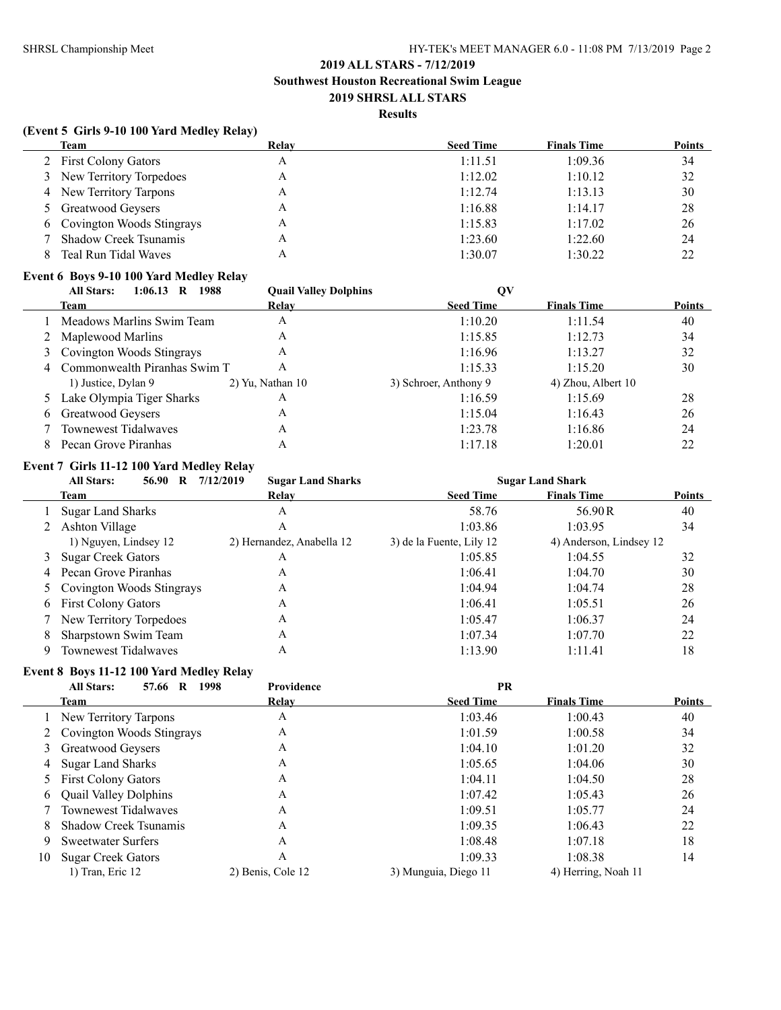### **Results**

### **(Event 5 Girls 9-10 100 Yard Medley Relay)**

| Team                        | Relay | <b>Seed Time</b> | <b>Finals Time</b> | <b>Points</b> |
|-----------------------------|-------|------------------|--------------------|---------------|
| 2 First Colony Gators       | А     | 1:11.51          | 1:09.36            | 34            |
| 3 New Territory Torpedoes   | A     | 1:12.02          | 1:10.12            | 32            |
| 4 New Territory Tarpons     | А     | 1:12.74          | 1:13.13            | 30            |
| 5 Greatwood Geysers         | А     | 1:16.88          | 1:14.17            | 28            |
| 6 Covington Woods Stingrays | А     | 1:15.83          | 1:17.02            | 26            |
| 7 Shadow Creek Tsunamis     | А     | 1:23.60          | 1:22.60            | 24            |
| Teal Run Tidal Waves        |       | 1:30.07          | 1:30.22            | 22            |

### **Event 6 Boys 9-10 100 Yard Medley Relay**

|   | <b>All Stars:</b><br>$1:06.13$ R<br>1988 | <b>Quail Valley Dolphins</b> | QV                    |                    |               |
|---|------------------------------------------|------------------------------|-----------------------|--------------------|---------------|
|   | Team                                     | Relay                        | <b>Seed Time</b>      | <b>Finals Time</b> | <b>Points</b> |
|   | Meadows Marlins Swim Team                | A                            | 1:10.20               | 1:11.54            | 40            |
|   | 2 Maplewood Marlins                      | A                            | 1:15.85               | 1:12.73            | 34            |
|   | 3 Covington Woods Stingrays              | A                            | 1:16.96               | 1:13.27            | 32            |
| 4 | Commonwealth Piranhas Swim T             | A                            | 1:15.33               | 1:15.20            | 30            |
|   | 1) Justice, Dylan 9                      | $2)$ Yu, Nathan 10           | 3) Schroer, Anthony 9 | 4) Zhou, Albert 10 |               |
|   | Lake Olympia Tiger Sharks                | A                            | 1:16.59               | 1:15.69            | 28            |
| 6 | Greatwood Geysers                        | А                            | 1:15.04               | 1:16.43            | 26            |
|   | <b>Townewest Tidalwaves</b>              | А                            | 1:23.78               | 1:16.86            | 24            |
|   | Pecan Grove Piranhas                     |                              | 1:17.18               | 1:20.01            | 22            |

# **Event 7 Girls 11-12 100 Yard Medley Relay**

|   | 56.90<br><b>All Stars:</b><br>R | 7/12/2019<br><b>Sugar Land Sharks</b> |                          | <b>Sugar Land Shark</b> |               |
|---|---------------------------------|---------------------------------------|--------------------------|-------------------------|---------------|
|   | Team                            | Relav                                 | <b>Seed Time</b>         | <b>Finals Time</b>      | <b>Points</b> |
|   | <b>Sugar Land Sharks</b>        | A                                     | 58.76                    | 56.90R                  | 40            |
|   | 2 Ashton Village                | А                                     | 1:03.86                  | 1:03.95                 | 34            |
|   | 1) Nguyen, Lindsey 12           | 2) Hernandez, Anabella 12             | 3) de la Fuente, Lily 12 | 4) Anderson, Lindsey 12 |               |
|   | 3 Sugar Creek Gators            | А                                     | 1:05.85                  | 1:04.55                 | 32            |
|   | 4 Pecan Grove Piranhas          | А                                     | 1:06.41                  | 1:04.70                 | 30            |
|   | 5 Covington Woods Stingrays     | A                                     | 1:04.94                  | 1:04.74                 | 28            |
|   | 6 First Colony Gators           | Α                                     | 1:06.41                  | 1:05.51                 | 26            |
|   | 7 New Territory Torpedoes       | A                                     | 1:05.47                  | 1:06.37                 | 24            |
| 8 | Sharpstown Swim Team            | A                                     | 1:07.34                  | 1:07.70                 | 22            |
| 9 | <b>Townewest Tidalwaves</b>     | Α                                     | 1:13.90                  | 1:11.41                 | 18            |

### **Event 8 Boys 11-12 100 Yard Medley Relay**

|    | 1998<br><b>All Stars:</b><br>R<br>57.66 | <b>Providence</b> | PR                   |                     |               |
|----|-----------------------------------------|-------------------|----------------------|---------------------|---------------|
|    | Team                                    | Relay             | <b>Seed Time</b>     | <b>Finals Time</b>  | <b>Points</b> |
|    | 1 New Territory Tarpons                 | A                 | 1:03.46              | 1:00.43             | 40            |
|    | 2 Covington Woods Stingrays             | A                 | 1:01.59              | 1:00.58             | 34            |
|    | 3 Greatwood Geysers                     | Α                 | 1:04.10              | 1:01.20             | 32            |
|    | 4 Sugar Land Sharks                     | Α                 | 1:05.65              | 1:04.06             | 30            |
|    | 5 First Colony Gators                   | A                 | 1:04.11              | 1:04.50             | 28            |
| 6  | <b>Quail Valley Dolphins</b>            | A                 | 1:07.42              | 1:05.43             | 26            |
|    | Townewest Tidalwaves                    | A                 | 1:09.51              | 1:05.77             | 24            |
| 8  | Shadow Creek Tsunamis                   | A                 | 1:09.35              | 1:06.43             | 22            |
| 9  | <b>Sweetwater Surfers</b>               | A                 | 1:08.48              | 1:07.18             | 18            |
| 10 | <b>Sugar Creek Gators</b>               | А                 | 1:09.33              | 1:08.38             | 14            |
|    | 1) Tran, Eric 12                        | 2) Benis, Cole 12 | 3) Munguia, Diego 11 | 4) Herring, Noah 11 |               |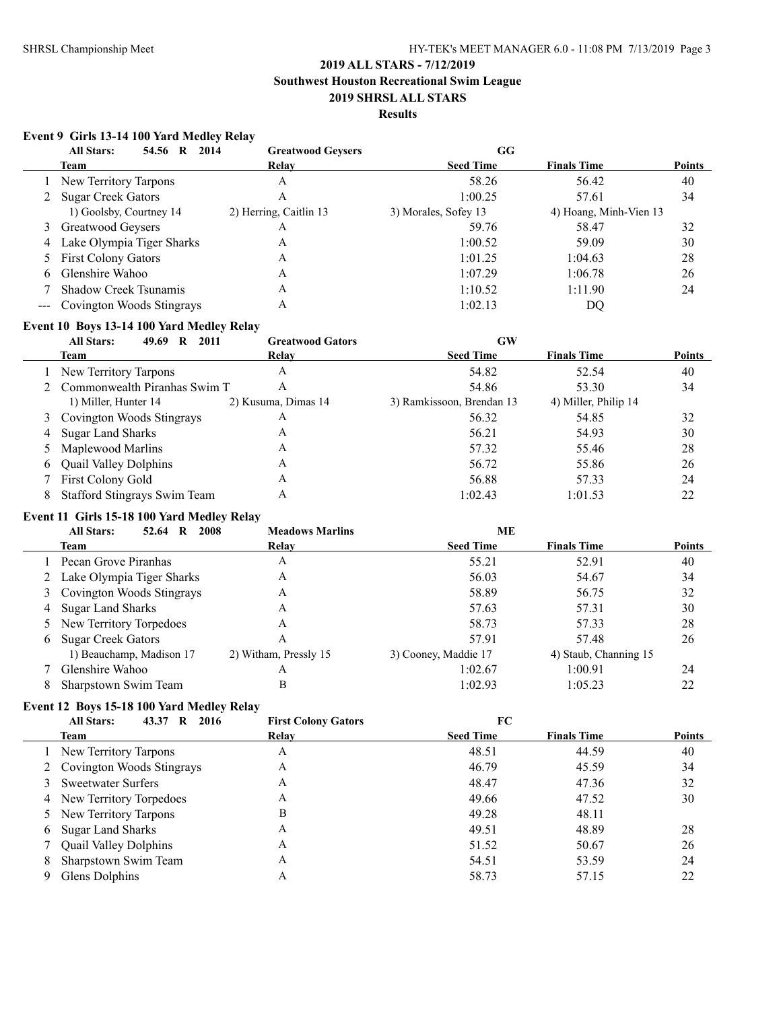**Southwest Houston Recreational Swim League**

# **2019 SHRSL ALL STARS**

# **Results**

### **Event 9 Girls 13-14 100 Yard Medley Relay**

|   | <b>All Stars:</b><br>2014<br>54.56 R | <b>Greatwood Geysers</b> | GG                   |                        |               |
|---|--------------------------------------|--------------------------|----------------------|------------------------|---------------|
|   | Team                                 | Relay                    | <b>Seed Time</b>     | <b>Finals Time</b>     | <b>Points</b> |
|   | New Territory Tarpons                | A                        | 58.26                | 56.42                  | 40            |
|   | <b>Sugar Creek Gators</b>            | Α                        | 1:00.25              | 57.61                  | 34            |
|   | 1) Goolsby, Courtney 14              | 2) Herring, Caitlin 13   | 3) Morales, Sofey 13 | 4) Hoang, Minh-Vien 13 |               |
|   | 3 Greatwood Geysers                  | Α                        | 59.76                | 58.47                  | 32            |
| 4 | Lake Olympia Tiger Sharks            | A                        | 1:00.52              | 59.09                  | 30            |
|   | 5 First Colony Gators                | A                        | 1:01.25              | 1:04.63                | 28            |
| 6 | Glenshire Wahoo                      | A                        | 1:07.29              | 1:06.78                | 26            |
|   | <b>Shadow Creek Tsunamis</b>         | A                        | 1:10.52              | 1:11.90                | 24            |
|   | --- Covington Woods Stingrays        | A                        | 1:02.13              | DQ                     |               |

### **Event 10 Boys 13-14 100 Yard Medley Relay**

|   | <b>All Stars:</b><br>2011<br>49.69<br>R | <b>Greatwood Gators</b> | GW                        |                      |               |
|---|-----------------------------------------|-------------------------|---------------------------|----------------------|---------------|
|   | Team                                    | Relay                   | <b>Seed Time</b>          | <b>Finals Time</b>   | <b>Points</b> |
|   | 1 New Territory Tarpons                 | A                       | 54.82                     | 52.54                | 40            |
|   | 2 Commonwealth Piranhas Swim T          | Α                       | 54.86                     | 53.30                | 34            |
|   | 1) Miller, Hunter 14                    | 2) Kusuma, Dimas 14     | 3) Ramkissoon, Brendan 13 | 4) Miller, Philip 14 |               |
|   | 3 Covington Woods Stingrays             | Α                       | 56.32                     | 54.85                | 32            |
|   | 4 Sugar Land Sharks                     | A                       | 56.21                     | 54.93                | 30            |
|   | 5 Maplewood Marlins                     | A                       | 57.32                     | 55.46                | 28            |
| 6 | <b>Quail Valley Dolphins</b>            | A                       | 56.72                     | 55.86                | 26            |
|   | First Colony Gold                       | A                       | 56.88                     | 57.33                | 24            |
|   | <b>Stafford Stingrays Swim Team</b>     | Α                       | 1:02.43                   | 1:01.53              | 22            |

### **Event 11 Girls 15-18 100 Yard Medley Relay**

|   | 2008<br><b>All Stars:</b><br>52.64<br>R | <b>Meadows Marlins</b> | <b>ME</b>            |                       |               |
|---|-----------------------------------------|------------------------|----------------------|-----------------------|---------------|
|   | Team                                    | Relay                  | <b>Seed Time</b>     | <b>Finals Time</b>    | <b>Points</b> |
|   | Pecan Grove Piranhas                    | A                      | 55.21                | 52.91                 | 40            |
|   | 2 Lake Olympia Tiger Sharks             | A                      | 56.03                | 54.67                 | 34            |
|   | 3 Covington Woods Stingrays             | A                      | 58.89                | 56.75                 | 32            |
| 4 | <b>Sugar Land Sharks</b>                | A                      | 57.63                | 57.31                 | 30            |
|   | 5 New Territory Torpedoes               | A                      | 58.73                | 57.33                 | 28            |
| 6 | <b>Sugar Creek Gators</b>               | Α                      | 57.91                | 57.48                 | 26            |
|   | 1) Beauchamp, Madison 17                | 2) Witham, Pressly 15  | 3) Cooney, Maddie 17 | 4) Staub, Channing 15 |               |
|   | Glenshire Wahoo                         | A                      | 1:02.67              | 1:00.91               | 24            |
| 8 | Sharpstown Swim Team                    | В                      | 1:02.93              | 1:05.23               | 22            |

#### **Event 12 Boys 15-18 100 Yard Medley Relay**

| <b>All Stars:</b><br>43.37 R<br>2016 | <b>First Colony Gators</b>                                                                                                                                                               | FC               |                    |               |
|--------------------------------------|------------------------------------------------------------------------------------------------------------------------------------------------------------------------------------------|------------------|--------------------|---------------|
| Team                                 | Relav                                                                                                                                                                                    | <b>Seed Time</b> | <b>Finals Time</b> | <b>Points</b> |
|                                      | Α                                                                                                                                                                                        | 48.51            | 44.59              | 40            |
|                                      | Α                                                                                                                                                                                        | 46.79            | 45.59              | 34            |
|                                      | Α                                                                                                                                                                                        | 48.47            | 47.36              | 32            |
|                                      | Α                                                                                                                                                                                        | 49.66            | 47.52              | 30            |
|                                      | B                                                                                                                                                                                        | 49.28            | 48.11              |               |
|                                      | Α                                                                                                                                                                                        | 49.51            | 48.89              | 28            |
|                                      | Α                                                                                                                                                                                        | 51.52            | 50.67              | 26            |
| Sharpstown Swim Team                 | Α                                                                                                                                                                                        | 54.51            | 53.59              | 24            |
| Glens Dolphins                       | А                                                                                                                                                                                        | 58.73            | 57.15              | 22            |
| 8.                                   | 1 New Territory Tarpons<br>2 Covington Woods Stingrays<br>3 Sweetwater Surfers<br>4 New Territory Torpedoes<br>5 New Territory Tarpons<br>6 Sugar Land Sharks<br>7 Quail Valley Dolphins |                  |                    |               |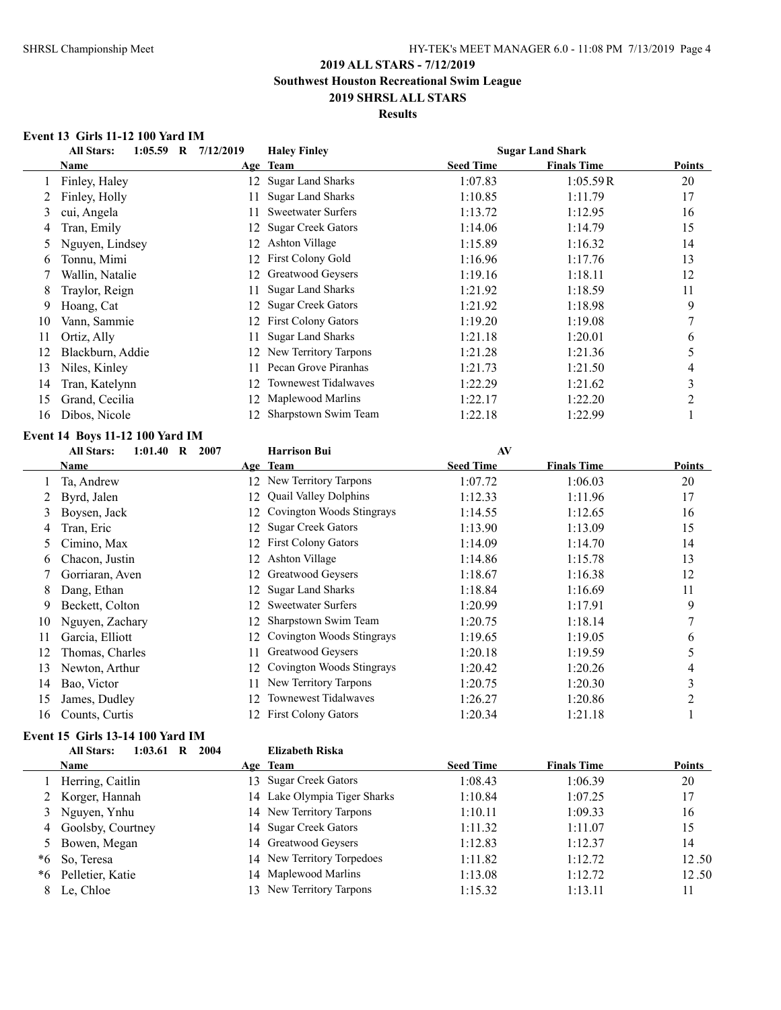### **Results**

### **Event 13 Girls 11-12 100 Yard IM**

|    | <b>All Stars:</b>                     | 1:05.59 R 7/12/2019 | <b>Haley Finley</b>         |                  | <b>Sugar Land Shark</b> |                  |
|----|---------------------------------------|---------------------|-----------------------------|------------------|-------------------------|------------------|
|    | Name                                  |                     | Age Team                    | <b>Seed Time</b> | <b>Finals Time</b>      | <b>Points</b>    |
| 1  | Finley, Haley                         | 12                  | <b>Sugar Land Sharks</b>    | 1:07.83          | 1:05.59R                | 20               |
| 2  | Finley, Holly                         | 11                  | <b>Sugar Land Sharks</b>    | 1:10.85          | 1:11.79                 | 17               |
| 3  | cui, Angela                           | 11                  | <b>Sweetwater Surfers</b>   | 1:13.72          | 1:12.95                 | 16               |
| 4  | Tran, Emily                           | 12                  | <b>Sugar Creek Gators</b>   | 1:14.06          | 1:14.79                 | 15               |
| 5  | Nguyen, Lindsey                       | 12                  | <b>Ashton Village</b>       | 1:15.89          | 1:16.32                 | 14               |
| 6  | Tonnu, Mimi                           | 12                  | First Colony Gold           | 1:16.96          | 1:17.76                 | 13               |
| 7  | Wallin, Natalie                       | 12                  | Greatwood Geysers           | 1:19.16          | 1:18.11                 | 12               |
| 8  | Traylor, Reign                        | 11                  | <b>Sugar Land Sharks</b>    | 1:21.92          | 1:18.59                 | 11               |
| 9  | Hoang, Cat                            | 12                  | <b>Sugar Creek Gators</b>   | 1:21.92          | 1:18.98                 | 9                |
| 10 | Vann, Sammie                          | 12                  | First Colony Gators         | 1:19.20          | 1:19.08                 | $\tau$           |
| 11 | Ortiz, Ally                           | 11                  | <b>Sugar Land Sharks</b>    | 1:21.18          | 1:20.01                 | 6                |
| 12 | Blackburn, Addie                      | 12                  | New Territory Tarpons       | 1:21.28          | 1:21.36                 | 5                |
| 13 | Niles, Kinley                         | 11                  | Pecan Grove Piranhas        | 1:21.73          | 1:21.50                 | 4                |
| 14 | Tran, Katelynn                        | 12                  | <b>Townewest Tidalwaves</b> | 1:22.29          | 1:21.62                 | $\mathfrak{Z}$   |
| 15 | Grand, Cecilia                        | 12                  | Maplewood Marlins           | 1:22.17          | 1:22.20                 | $\boldsymbol{2}$ |
| 16 | Dibos, Nicole                         |                     | 12 Sharpstown Swim Team     | 1:22.18          | 1:22.99                 | $\mathbf{1}$     |
|    | Event 14 Boys 11-12 100 Yard IM       |                     |                             |                  |                         |                  |
|    | $1:01.40$ R 2007<br><b>All Stars:</b> |                     | <b>Harrison Bui</b>         | AV               |                         |                  |
|    | <b>Name</b>                           |                     | Age Team                    | <b>Seed Time</b> | <b>Finals Time</b>      | <b>Points</b>    |
| 1  | Ta, Andrew                            |                     | 12 New Territory Tarpons    | 1:07.72          | 1:06.03                 | 20               |
| 2  | Byrd, Jalen                           | 12                  | Quail Valley Dolphins       | 1:12.33          | 1:11.96                 | 17               |
| 3  | Boysen, Jack                          | 12                  | Covington Woods Stingrays   | 1:14.55          | 1:12.65                 | 16               |
| 4  | Tran, Eric                            | 12                  | <b>Sugar Creek Gators</b>   | 1:13.90          | 1:13.09                 | 15               |
| 5  | Cimino, Max                           | 12                  | First Colony Gators         | 1:14.09          | 1:14.70                 | 14               |
| 6  | Chacon, Justin                        | 12                  | Ashton Village              | 1:14.86          | 1:15.78                 | 13               |
| 7  | Gorriaran, Aven                       | 12                  | Greatwood Geysers           | 1:18.67          | 1:16.38                 | 12               |
| 8  | Dang, Ethan                           | 12                  | <b>Sugar Land Sharks</b>    | 1:18.84          | 1:16.69                 | 11               |
| 9  | Beckett, Colton                       | 12                  | <b>Sweetwater Surfers</b>   | 1:20.99          | 1:17.91                 | 9                |
| 10 | Nguyen, Zachary                       | 12                  | Sharpstown Swim Team        | 1:20.75          | 1:18.14                 | $\boldsymbol{7}$ |
| 11 | Garcia, Elliott                       | 12                  | Covington Woods Stingrays   | 1:19.65          | 1:19.05                 | 6                |
| 12 | Thomas, Charles                       | 11                  | Greatwood Geysers           | 1:20.18          | 1:19.59                 | 5                |
| 13 | Newton, Arthur                        | 12                  | Covington Woods Stingrays   | 1:20.42          | 1:20.26                 | 4                |
| 14 | Bao, Victor                           | 11                  | New Territory Tarpons       | 1:20.75          | 1:20.30                 | $\mathfrak{Z}$   |
| 15 | James, Dudley                         | 12                  | <b>Townewest Tidalwaves</b> | 1:26.27          | 1:20.86                 | $\boldsymbol{2}$ |
| 16 | Counts, Curtis                        |                     | 12 First Colony Gators      | 1:20.34          | 1:21.18                 | $\mathbf{1}$     |

### **Event 15 Girls 13-14 100 Yard IM**

|    | <b>All Stars:</b><br>1:03.61<br>R | 2004<br>Elizabeth Riska      |                  |                    |        |
|----|-----------------------------------|------------------------------|------------------|--------------------|--------|
|    | <b>Name</b>                       | Age Team                     | <b>Seed Time</b> | <b>Finals Time</b> | Points |
|    | Herring, Caitlin                  | 13 Sugar Creek Gators        | 1:08.43          | 1:06.39            | 20     |
|    | 2 Korger, Hannah                  | 14 Lake Olympia Tiger Sharks | 1:10.84          | 1:07.25            | 17     |
|    | 3 Nguyen, Ynhu                    | 14 New Territory Tarpons     | 1:10.11          | 1:09.33            | 16     |
|    | 4 Goolsby, Courtney               | 14 Sugar Creek Gators        | 1:11.32          | 1:11.07            | 15     |
|    | 5 Bowen, Megan                    | 14 Greatwood Geysers         | 1:12.83          | 1:12.37            | 14     |
| *6 | So, Teresa                        | 14 New Territory Torpedoes   | 1:11.82          | 1:12.72            | 12.50  |
| *6 | Pelletier, Katie                  | 14 Maplewood Marlins         | 1:13.08          | 1:12.72            | 12.50  |
| 8. | Le, Chloe                         | New Territory Tarpons        | 1:15.32          | 1:13.11            | 11     |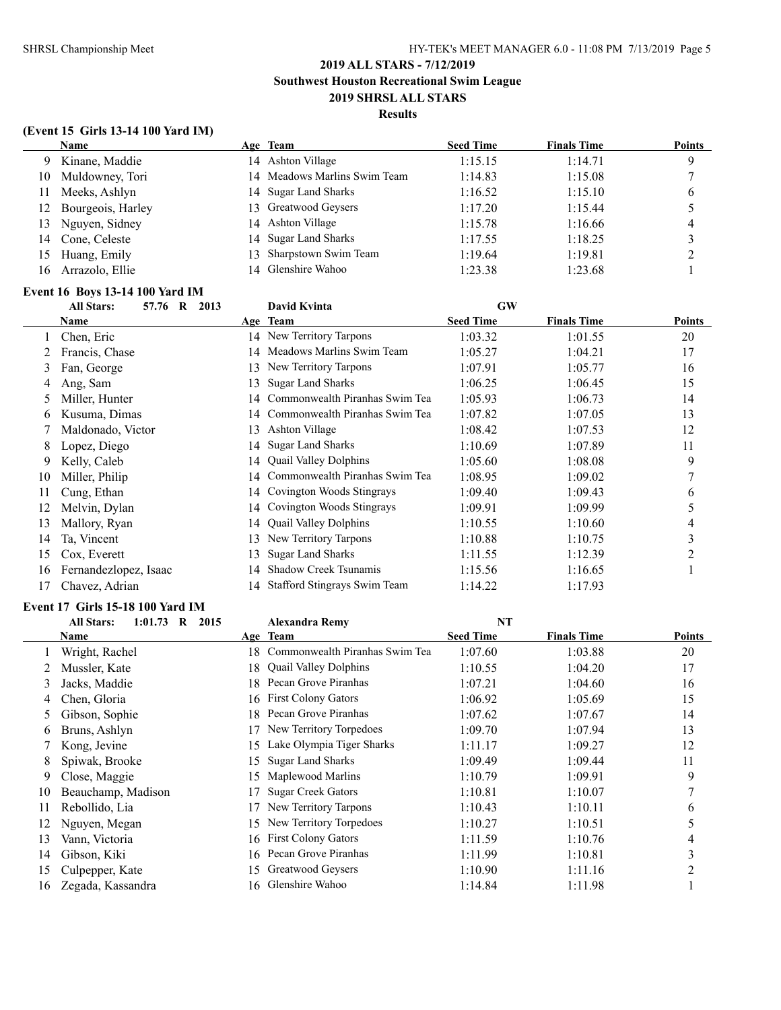### **(Event 15 Girls 13-14 100 Yard IM)**

|     | <b>Name</b>       | Age Team                     | <b>Seed Time</b> | <b>Finals Time</b> | <b>Points</b> |
|-----|-------------------|------------------------------|------------------|--------------------|---------------|
| 9   | Kinane, Maddie    | 14 Ashton Village            | 1:15.15          | 1:14.71            | 9             |
| 10  | Muldowney, Tori   | 14 Meadows Marlins Swim Team | 1:14.83          | 1:15.08            |               |
| 11  | Meeks, Ashlyn     | 14 Sugar Land Sharks         | 1:16.52          | 1:15.10            | b             |
| 12  | Bourgeois, Harley | 13 Greatwood Geysers         | 1:17.20          | 1:15.44            |               |
|     | 13 Nguyen, Sidney | 14 Ashton Village            | 1:15.78          | 1:16.66            | 4             |
| 14  | Cone, Celeste     | 14 Sugar Land Sharks         | 1:17.55          | 1:18.25            |               |
| 15  | Huang, Emily      | 13 Sharpstown Swim Team      | 1:19.64          | 1:19.81            | ∍             |
| 16. | Arrazolo, Ellie   | 14 Glenshire Wahoo           | 1:23.38          | 1:23.68            |               |

# **Event 16 Boys 13-14 100 Yard IM**

| <b>All Stars:</b><br>57.76 R<br>2013 |                       |     | David Kvinta                   | <b>GW</b>        |                    |                     |
|--------------------------------------|-----------------------|-----|--------------------------------|------------------|--------------------|---------------------|
|                                      | Name                  |     | Age Team                       | <b>Seed Time</b> | <b>Finals Time</b> | <b>Points</b>       |
|                                      | Chen, Eric            |     | 14 New Territory Tarpons       | 1:03.32          | 1:01.55            | 20                  |
|                                      | Francis, Chase        | 14  | Meadows Marlins Swim Team      | 1:05.27          | 1:04.21            | 17                  |
| 3                                    | Fan, George           | 13. | New Territory Tarpons          | 1:07.91          | 1:05.77            | 16                  |
| 4                                    | Ang, Sam              | 13  | <b>Sugar Land Sharks</b>       | 1:06.25          | 1:06.45            | 15                  |
|                                      | Miller, Hunter        | 14  | Commonwealth Piranhas Swim Tea | 1:05.93          | 1:06.73            | 14                  |
| 6                                    | Kusuma, Dimas         | 14  | Commonwealth Piranhas Swim Tea | 1:07.82          | 1:07.05            | 13                  |
|                                      | Maldonado, Victor     | 13  | Ashton Village                 | 1:08.42          | 1:07.53            | 12                  |
| 8                                    | Lopez, Diego          | 14  | <b>Sugar Land Sharks</b>       | 1:10.69          | 1:07.89            | 11                  |
| 9                                    | Kelly, Caleb          | 14  | <b>Quail Valley Dolphins</b>   | 1:05.60          | 1:08.08            | 9                   |
| 10                                   | Miller, Philip        | 14  | Commonwealth Piranhas Swim Tea | 1:08.95          | 1:09.02            |                     |
| 11                                   | Cung, Ethan           |     | 14 Covington Woods Stingrays   | 1:09.40          | 1:09.43            | 6                   |
| 12                                   | Melvin, Dylan         | 14  | Covington Woods Stingrays      | 1:09.91          | 1:09.99            | 5                   |
| 13                                   | Mallory, Ryan         | 14  | <b>Quail Valley Dolphins</b>   | 1:10.55          | 1:10.60            | 4                   |
| 14                                   | Ta, Vincent           | 13. | New Territory Tarpons          | 1:10.88          | 1:10.75            | $\mathcal{L}$<br>C. |
| 15                                   | Cox, Everett          | 13  | <b>Sugar Land Sharks</b>       | 1:11.55          | 1:12.39            | $\mathfrak{D}$      |
| 16                                   | Fernandezlopez, Isaac | 14  | <b>Shadow Creek Tsunamis</b>   | 1:15.56          | 1:16.65            |                     |
| 17                                   | Chavez, Adrian        | 14  | Stafford Stingrays Swim Team   | 1:14.22          | 1:17.93            |                     |

### **Event 17 Girls 15-18 100 Yard IM**

|    | 1:01.73<br><b>All Stars:</b><br>$\bf{R}$<br>2015 | <b>Alexandra Remy</b> |                                   | <b>NT</b>        |                    |        |
|----|--------------------------------------------------|-----------------------|-----------------------------------|------------------|--------------------|--------|
|    | Name                                             |                       | Age Team                          | <b>Seed Time</b> | <b>Finals Time</b> | Points |
|    | Wright, Rachel                                   |                       | 18 Commonwealth Piranhas Swim Tea | 1:07.60          | 1:03.88            | 20     |
|    | Mussler, Kate                                    | 18.                   | <b>Quail Valley Dolphins</b>      | 1:10.55          | 1:04.20            | 17     |
| 3  | Jacks, Maddie                                    | 18.                   | Pecan Grove Piranhas              | 1:07.21          | 1:04.60            | 16     |
| 4  | Chen, Gloria                                     | 16.                   | <b>First Colony Gators</b>        | 1:06.92          | 1:05.69            | 15     |
| 5. | Gibson, Sophie                                   | 18.                   | Pecan Grove Piranhas              | 1:07.62          | 1:07.67            | 14     |
| 6  | Bruns, Ashlyn                                    | 17                    | New Territory Torpedoes           | 1:09.70          | 1:07.94            | 13     |
|    | Kong, Jevine                                     | 15                    | Lake Olympia Tiger Sharks         | 1:11.17          | 1:09.27            | 12     |
| 8  | Spiwak, Brooke                                   | 15.                   | <b>Sugar Land Sharks</b>          | 1:09.49          | 1:09.44            | 11     |
| 9. | Close, Maggie                                    | 15.                   | Maplewood Marlins                 | 1:10.79          | 1:09.91            | 9      |
| 10 | Beauchamp, Madison                               |                       | <b>Sugar Creek Gators</b>         | 1:10.81          | 1:10.07            |        |
| 11 | Rebollido, Lia                                   |                       | New Territory Tarpons             | 1:10.43          | 1:10.11            | 6      |
| 12 | Nguyen, Megan                                    | 15                    | New Territory Torpedoes           | 1:10.27          | 1:10.51            | 5      |
| 13 | Vann, Victoria                                   | 16                    | First Colony Gators               | 1:11.59          | 1:10.76            | 4      |
| 14 | Gibson, Kiki                                     | 16                    | Pecan Grove Piranhas              | 1:11.99          | 1:10.81            | 3      |
| 15 | Culpepper, Kate                                  | 15.                   | Greatwood Geysers                 | 1:10.90          | 1:11.16            | 2      |
| 16 | Zegada, Kassandra                                |                       | 16 Glenshire Wahoo                | 1:14.84          | 1:11.98            |        |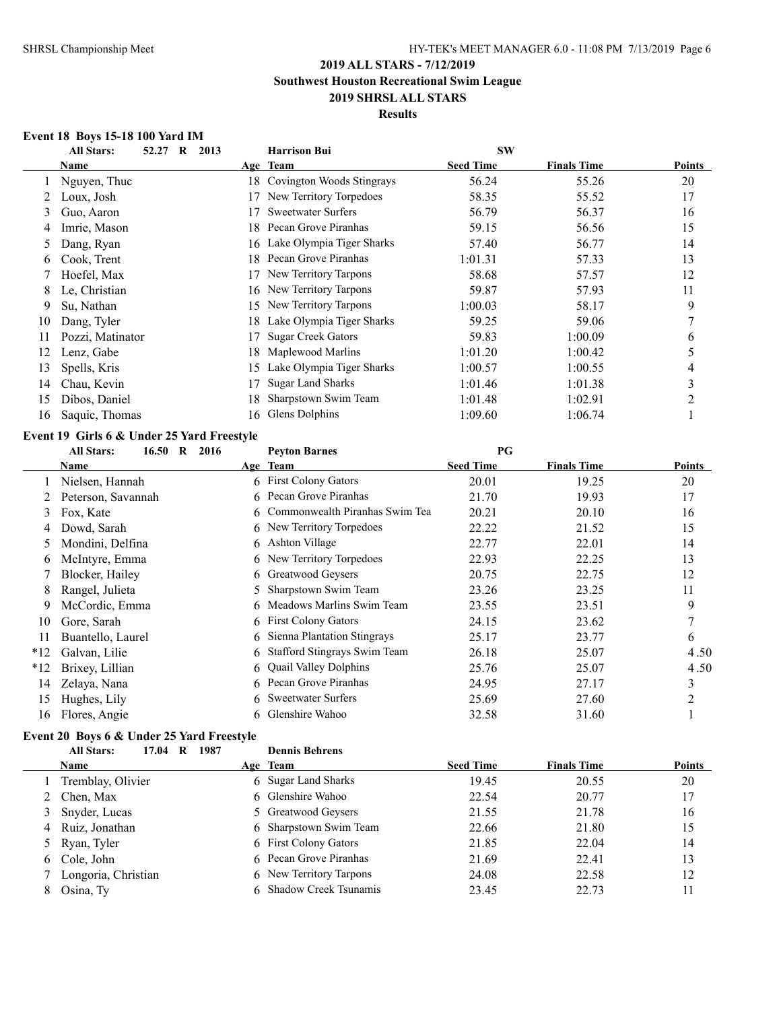### **Results**

### **Event 18 Boys 15-18 100 Yard IM**

|    | <b>All Stars:</b><br>52.27<br>$\bf{R}$     | 2013 | <b>Harrison Bui</b>       | <b>SW</b>        |                    |                |
|----|--------------------------------------------|------|---------------------------|------------------|--------------------|----------------|
|    | Name                                       |      | Age Team                  | <b>Seed Time</b> | <b>Finals Time</b> | Points         |
|    | Nguyen, Thuc                               | 18   | Covington Woods Stingrays | 56.24            | 55.26              | 20             |
|    | Loux, Josh                                 | 17   | New Territory Torpedoes   | 58.35            | 55.52              | 17             |
| 3  | Guo, Aaron                                 | 17   | <b>Sweetwater Surfers</b> | 56.79            | 56.37              | 16             |
| 4  | Imrie, Mason                               | 18.  | Pecan Grove Piranhas      | 59.15            | 56.56              | 15             |
| 5  | Dang, Ryan                                 | 16   | Lake Olympia Tiger Sharks | 57.40            | 56.77              | 14             |
| 6  | Cook, Trent                                | 18   | Pecan Grove Piranhas      | 1:01.31          | 57.33              | 13             |
|    | Hoefel, Max                                | 17   | New Territory Tarpons     | 58.68            | 57.57              | 12             |
| 8  | Le, Christian                              | 16.  | New Territory Tarpons     | 59.87            | 57.93              | 11             |
| 9  | Su, Nathan                                 | 15   | New Territory Tarpons     | 1:00.03          | 58.17              | 9              |
| 10 | Dang, Tyler                                | 18   | Lake Olympia Tiger Sharks | 59.25            | 59.06              | 7              |
| 11 | Pozzi, Matinator                           | 17   | <b>Sugar Creek Gators</b> | 59.83            | 1:00.09            | 6              |
| 12 | Lenz, Gabe                                 | 18   | Maplewood Marlins         | 1:01.20          | 1:00.42            | 5              |
| 13 | Spells, Kris                               | 15   | Lake Olympia Tiger Sharks | 1:00.57          | 1:00.55            | 4              |
| 14 | Chau, Kevin                                | 17   | <b>Sugar Land Sharks</b>  | 1:01.46          | 1:01.38            | 3              |
| 15 | Dibos, Daniel                              | 18   | Sharpstown Swim Team      | 1:01.48          | 1:02.91            | $\overline{2}$ |
| 16 | Saquic, Thomas                             | 16   | Glens Dolphins            | 1:09.60          | 1:06.74            |                |
|    | Event 19 Girls 6 & Under 25 Yard Freestyle |      |                           |                  |                    |                |

#### **Event 19 Girls 6 & Under 25 Yard Freestyle**

|       | 16.50<br><b>All Stars:</b><br>$\bf{R}$<br>2016 |    | <b>Peyton Barnes</b>             | PG               |                    |               |
|-------|------------------------------------------------|----|----------------------------------|------------------|--------------------|---------------|
|       | Name                                           |    | Age Team                         | <b>Seed Time</b> | <b>Finals Time</b> | <b>Points</b> |
|       | Nielsen, Hannah                                |    | 6 First Colony Gators            | 20.01            | 19.25              | 20            |
|       | Peterson, Savannah                             | 6  | Pecan Grove Piranhas             | 21.70            | 19.93              | 17            |
| 3     | Fox, Kate                                      |    | 6 Commonwealth Piranhas Swim Tea | 20.21            | 20.10              | 16            |
| 4     | Dowd, Sarah                                    |    | 6 New Territory Torpedoes        | 22.22            | 21.52              | 15            |
| 5     | Mondini, Delfina                               | 6  | Ashton Village                   | 22.77            | 22.01              | 14            |
| b     | McIntyre, Emma                                 | 6. | New Territory Torpedoes          | 22.93            | 22.25              | 13            |
|       | Blocker, Hailey                                | 6  | Greatwood Geysers                | 20.75            | 22.75              | 12            |
| 8     | Rangel, Julieta                                | 5. | Sharpstown Swim Team             | 23.26            | 23.25              | 11            |
| 9     | McCordic, Emma                                 |    | 6 Meadows Marlins Swim Team      | 23.55            | 23.51              | 9             |
| 10    | Gore, Sarah                                    |    | 6 First Colony Gators            | 24.15            | 23.62              | $\mathcal{I}$ |
| 11    | Buantello, Laurel                              | 6. | Sienna Plantation Stingrays      | 25.17            | 23.77              | 6             |
| $*12$ | Galvan, Lilie                                  | 6. | Stafford Stingrays Swim Team     | 26.18            | 25.07              | 4.50          |
| $*12$ | Brixey, Lillian                                | 6  | <b>Quail Valley Dolphins</b>     | 25.76            | 25.07              | 4.50          |
| 14    | Zelaya, Nana                                   |    | 6 Pecan Grove Piranhas           | 24.95            | 27.17              | 3             |
| 15    | Hughes, Lily                                   | 6. | <b>Sweetwater Surfers</b>        | 25.69            | 27.60              | 2             |
| 16    | Flores, Angie                                  | 6  | Glenshire Wahoo                  | 32.58            | 31.60              |               |
|       |                                                |    |                                  |                  |                    |               |

### **Event 20 Boys 6 & Under 25 Yard Freestyle**

|   | <b>All Stars:</b><br>1987<br>17.04<br>R | <b>Dennis Behrens</b>   |                  |                    |               |
|---|-----------------------------------------|-------------------------|------------------|--------------------|---------------|
|   | <b>Name</b>                             | Age Team                | <b>Seed Time</b> | <b>Finals Time</b> | <b>Points</b> |
|   | Tremblay, Olivier                       | 6 Sugar Land Sharks     | 19.45            | 20.55              | 20            |
|   | 2 Chen, Max                             | 6 Glenshire Wahoo       | 22.54            | 20.77              | 17            |
|   | 3 Snyder, Lucas                         | 5 Greatwood Geysers     | 21.55            | 21.78              | 16            |
|   | 4 Ruiz, Jonathan                        | 6 Sharpstown Swim Team  | 22.66            | 21.80              | 15            |
|   | 5 Ryan, Tyler                           | 6 First Colony Gators   | 21.85            | 22.04              | 14            |
|   | 6 Cole, John                            | 6 Pecan Grove Piranhas  | 21.69            | 22.41              | 13            |
|   | Longoria, Christian                     | 6 New Territory Tarpons | 24.08            | 22.58              | 12            |
| 8 | Osina, Ty                               | 6 Shadow Creek Tsunamis | 23.45            | 22.73              | 11            |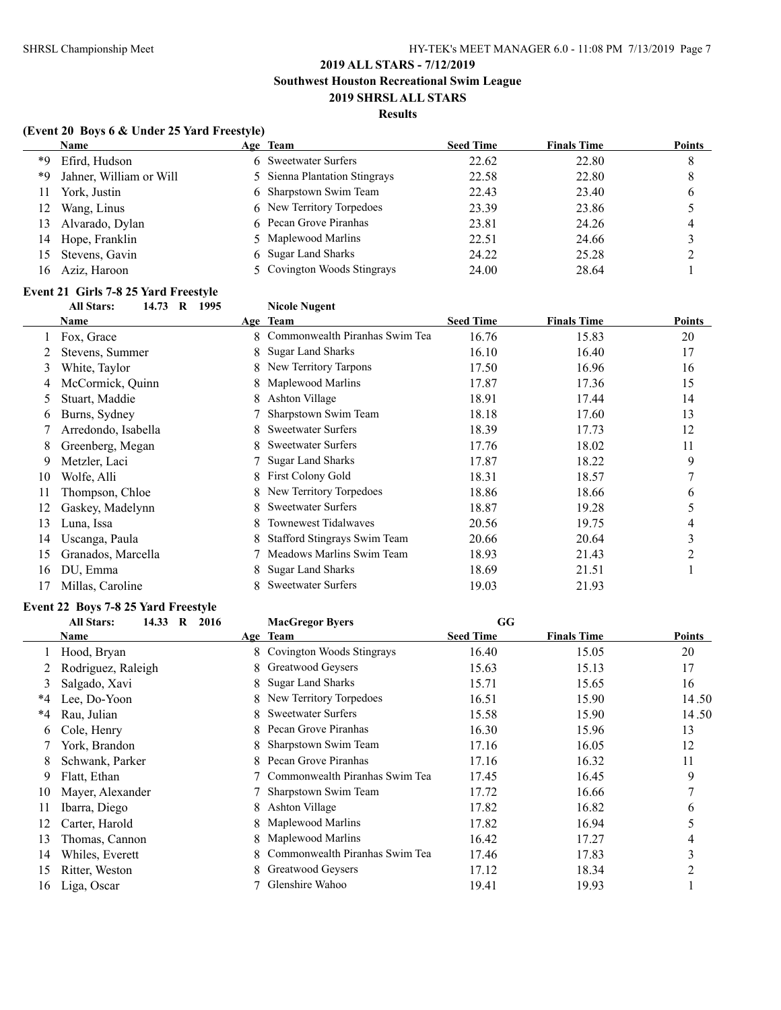### **Results**

# **(Event 20 Boys 6 & Under 25 Yard Freestyle)**

|     | <b>Name</b>             | Age Team                      | <b>Seed Time</b> | <b>Finals Time</b> | <b>Points</b> |
|-----|-------------------------|-------------------------------|------------------|--------------------|---------------|
| *9  | Efird, Hudson           | 6 Sweetwater Surfers          | 22.62            | 22.80              | 8             |
| *9  | Jahner, William or Will | 5 Sienna Plantation Stingrays | 22.58            | 22.80              | 8             |
| 11  | York, Justin            | 6 Sharpstown Swim Team        | 22.43            | 23.40              | O             |
| 12  | Wang, Linus             | 6 New Territory Torpedoes     | 23.39            | 23.86              |               |
| 13  | Alvarado, Dylan         | 6 Pecan Grove Piranhas        | 23.81            | 24.26              | 4             |
| 14  | Hope, Franklin          | 5 Maplewood Marlins           | 22.51            | 24.66              |               |
| 15  | Stevens, Gavin          | 6 Sugar Land Sharks           | 24.22            | 25.28              |               |
| 16. | Aziz, Haroon            | 5 Covington Woods Stingrays   | 24.00            | 28.64              |               |

# **Event 21 Girls 7-8 25 Yard Freestyle**

# **All Stars: 14.73 R 1995 Nicole Nugent**

|    | Name                |    | Age Team                            | <b>Seed Time</b> | <b>Finals Time</b> | <b>Points</b> |
|----|---------------------|----|-------------------------------------|------------------|--------------------|---------------|
|    | Fox, Grace          | 8. | Commonwealth Piranhas Swim Tea      | 16.76            | 15.83              | 20            |
|    | Stevens, Summer     | 8  | <b>Sugar Land Sharks</b>            | 16.10            | 16.40              | 17            |
| 3  | White, Taylor       | 8  | New Territory Tarpons               | 17.50            | 16.96              | 16            |
| 4  | McCormick, Quinn    |    | Maplewood Marlins                   | 17.87            | 17.36              | 15            |
| 5  | Stuart, Maddie      | 8  | Ashton Village                      | 18.91            | 17.44              | 14            |
| 6  | Burns, Sydney       |    | Sharpstown Swim Team                | 18.18            | 17.60              | 13            |
|    | Arredondo, Isabella | 8  | <b>Sweetwater Surfers</b>           | 18.39            | 17.73              | 12            |
| 8  | Greenberg, Megan    | 8  | <b>Sweetwater Surfers</b>           | 17.76            | 18.02              | 11            |
| 9  | Metzler, Laci       |    | <b>Sugar Land Sharks</b>            | 17.87            | 18.22              | 9             |
| 10 | Wolfe, Alli         | 8  | <b>First Colony Gold</b>            | 18.31            | 18.57              | 7             |
| 11 | Thompson, Chloe     | 8  | New Territory Torpedoes             | 18.86            | 18.66              | 6             |
| 12 | Gaskey, Madelynn    | 8  | <b>Sweetwater Surfers</b>           | 18.87            | 19.28              | 5             |
| 13 | Luna, Issa          | 8  | <b>Townewest Tidalwaves</b>         | 20.56            | 19.75              | 4             |
| 14 | Uscanga, Paula      | 8  | <b>Stafford Stingrays Swim Team</b> | 20.66            | 20.64              | 3             |
| 15 | Granados, Marcella  |    | Meadows Marlins Swim Team           | 18.93            | 21.43              | 2             |
| 16 | DU, Emma            | 8  | <b>Sugar Land Sharks</b>            | 18.69            | 21.51              |               |
| 17 | Millas, Caroline    |    | <b>Sweetwater Surfers</b>           | 19.03            | 21.93              |               |

# **Event 22 Boys 7-8 25 Yard Freestyle**

|    | <b>All Stars:</b><br>14.33 R<br>2016 |    | <b>MacGregor Byers</b>         | GG               |                    |                |
|----|--------------------------------------|----|--------------------------------|------------------|--------------------|----------------|
|    | Name                                 |    | Age Team                       | <b>Seed Time</b> | <b>Finals Time</b> | Points         |
|    | Hood, Bryan                          |    | 8 Covington Woods Stingrays    | 16.40            | 15.05              | 20             |
|    | Rodriguez, Raleigh                   | 8. | Greatwood Geysers              | 15.63            | 15.13              | 17             |
| 3  | Salgado, Xavi                        | 8. | <b>Sugar Land Sharks</b>       | 15.71            | 15.65              | 16             |
| *4 | Lee, Do-Yoon                         | 8. | New Territory Torpedoes        | 16.51            | 15.90              | 14.50          |
| *4 | Rau, Julian                          |    | <b>Sweetwater Surfers</b>      | 15.58            | 15.90              | 14.50          |
| 6  | Cole, Henry                          |    | Pecan Grove Piranhas           | 16.30            | 15.96              | 13             |
|    | York, Brandon                        | 8. | Sharpstown Swim Team           | 17.16            | 16.05              | 12             |
| 8  | Schwank, Parker                      |    | Pecan Grove Piranhas           | 17.16            | 16.32              | 11             |
| 9  | Flatt, Ethan                         |    | Commonwealth Piranhas Swim Tea | 17.45            | 16.45              | 9              |
| 10 | Mayer, Alexander                     |    | Sharpstown Swim Team           | 17.72            | 16.66              | 7              |
| 11 | Ibarra, Diego                        | 8. | Ashton Village                 | 17.82            | 16.82              | 6              |
| 12 | Carter, Harold                       | 8. | Maplewood Marlins              | 17.82            | 16.94              |                |
| 13 | Thomas, Cannon                       |    | Maplewood Marlins              | 16.42            | 17.27              | 4              |
| 14 | Whiles, Everett                      |    | Commonwealth Piranhas Swim Tea | 17.46            | 17.83              | 3              |
| 15 | Ritter, Weston                       |    | Greatwood Geysers              | 17.12            | 18.34              | $\overline{2}$ |
| 16 | Liga, Oscar                          |    | Glenshire Wahoo                | 19.41            | 19.93              |                |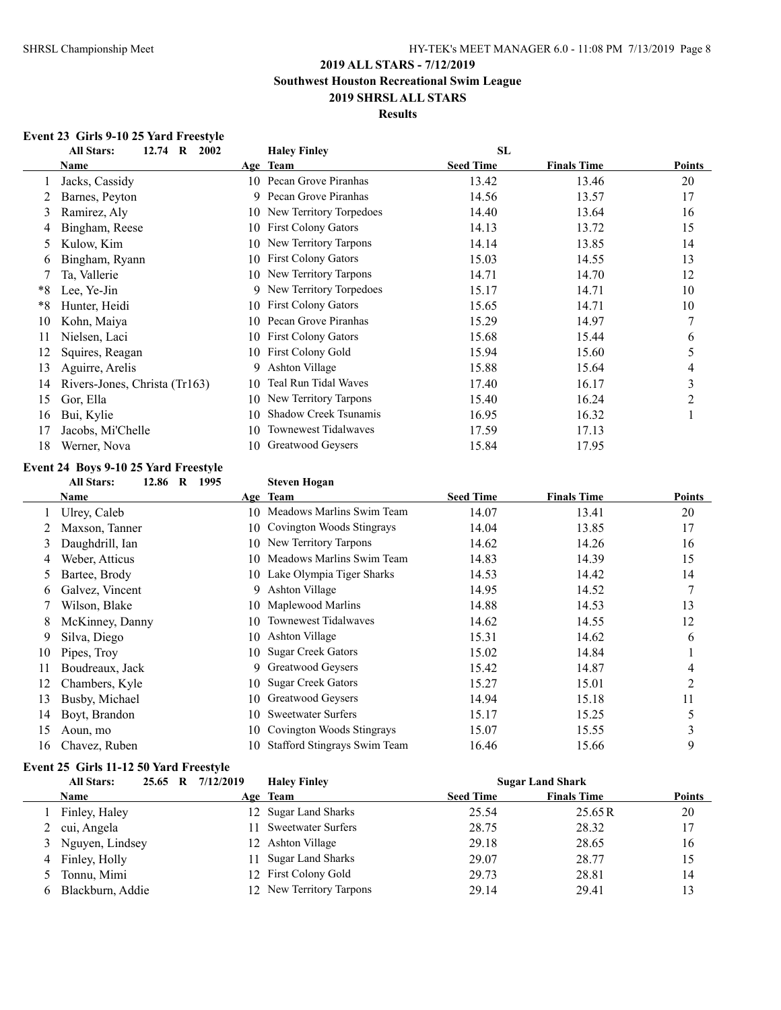### **Results**

### **Event 23 Girls 9-10 25 Yard Freestyle**

|    | <b>All Stars:</b><br>$12.74 \quad R$<br>2002 |     | <b>Haley Finley</b>          | SL               |                    |        |
|----|----------------------------------------------|-----|------------------------------|------------------|--------------------|--------|
|    | Name                                         |     | Age Team                     | <b>Seed Time</b> | <b>Finals Time</b> | Points |
|    | Jacks, Cassidy                               | 10  | Pecan Grove Piranhas         | 13.42            | 13.46              | 20     |
|    | Barnes, Peyton                               | 9   | Pecan Grove Piranhas         | 14.56            | 13.57              | 17     |
| 3  | Ramirez, Aly                                 |     | 10 New Territory Torpedoes   | 14.40            | 13.64              | 16     |
|    | Bingham, Reese                               | 10  | First Colony Gators          | 14.13            | 13.72              | 15     |
|    | Kulow, Kim                                   | 10. | New Territory Tarpons        | 14.14            | 13.85              | 14     |
| O  | Bingham, Ryann                               | 10  | <b>First Colony Gators</b>   | 15.03            | 14.55              | 13     |
|    | Ta, Vallerie                                 |     | 10 New Territory Tarpons     | 14.71            | 14.70              | 12     |
| *8 | Lee, Ye-Jin                                  | 9   | New Territory Torpedoes      | 15.17            | 14.71              | 10     |
| *8 | Hunter, Heidi                                | 10  | <b>First Colony Gators</b>   | 15.65            | 14.71              | 10     |
| 10 | Kohn, Maiya                                  | 10  | Pecan Grove Piranhas         | 15.29            | 14.97              | 7      |
| 11 | Nielsen, Laci                                | 10  | <b>First Colony Gators</b>   | 15.68            | 15.44              | 6      |
| 12 | Squires, Reagan                              | 10  | <b>First Colony Gold</b>     | 15.94            | 15.60              | 5      |
| 13 | Aguirre, Arelis                              | 9   | Ashton Village               | 15.88            | 15.64              | 4      |
| 14 | Rivers-Jones, Christa (Tr163)                | 10  | Teal Run Tidal Waves         | 17.40            | 16.17              | 3      |
| 15 | Gor, Ella                                    | 10  | New Territory Tarpons        | 15.40            | 16.24              | 2      |
| 16 | Bui, Kylie                                   | 10  | <b>Shadow Creek Tsunamis</b> | 16.95            | 16.32              |        |
| 17 | Jacobs, Mi'Chelle                            | 10  | Townewest Tidalwaves         | 17.59            | 17.13              |        |
| 18 | Werner, Nova                                 | 10  | Greatwood Geysers            | 15.84            | 17.95              |        |

# **Event 24 Boys 9-10 25 Yard Freestyle**

# **All Stars: 12.86 R 1995 Steven Hogan**

|    | Name            |     | Age Team                     | <b>Seed Time</b> | <b>Finals Time</b> | Points |
|----|-----------------|-----|------------------------------|------------------|--------------------|--------|
|    | Ulrey, Caleb    | 10. | Meadows Marlins Swim Team    | 14.07            | 13.41              | 20     |
|    | Maxson, Tanner  |     | 10 Covington Woods Stingrays | 14.04            | 13.85              | 17     |
| 3  | Daughdrill, Ian |     | 10 New Territory Tarpons     | 14.62            | 14.26              | 16     |
| 4  | Weber, Atticus  | 10  | Meadows Marlins Swim Team    | 14.83            | 14.39              | 15     |
| 5. | Bartee, Brody   |     | 10 Lake Olympia Tiger Sharks | 14.53            | 14.42              | 14     |
| 6  | Galvez, Vincent | 9   | <b>Ashton Village</b>        | 14.95            | 14.52              | 7      |
|    | Wilson, Blake   | 10  | Maplewood Marlins            | 14.88            | 14.53              | 13     |
| 8  | McKinney, Danny | 10  | <b>Townewest Tidalwaves</b>  | 14.62            | 14.55              | 12     |
| 9  | Silva, Diego    | 10  | Ashton Village               | 15.31            | 14.62              | 6      |
| 10 | Pipes, Troy     |     | 10 Sugar Creek Gators        | 15.02            | 14.84              |        |
| 11 | Boudreaux, Jack |     | 9 Greatwood Geysers          | 15.42            | 14.87              | 4      |
| 12 | Chambers, Kyle  | 10. | <b>Sugar Creek Gators</b>    | 15.27            | 15.01              | 2      |
| 13 | Busby, Michael  | 10  | <b>Greatwood Geysers</b>     | 14.94            | 15.18              | 11     |
| 14 | Boyt, Brandon   | 10  | <b>Sweetwater Surfers</b>    | 15.17            | 15.25              | 5      |
| 15 | Aoun, mo        | 10  | Covington Woods Stingrays    | 15.07            | 15.55              |        |
| 16 | Chavez, Ruben   | 10  | Stafford Stingrays Swim Team | 16.46            | 15.66              | 9      |

# **Event 25 Girls 11-12 50 Yard Freestyle**

| <b>All Stars:</b> | 25.65 R 7/12/2019 | <b>Haley Finley</b>      |                  | <b>Sugar Land Shark</b> |        |
|-------------------|-------------------|--------------------------|------------------|-------------------------|--------|
| <b>Name</b>       |                   | Age Team                 | <b>Seed Time</b> | <b>Finals Time</b>      | Points |
| Finley, Haley     |                   | 12 Sugar Land Sharks     | 25.54            | 25.65R                  | 20     |
| 2 cui, Angela     | 11.               | Sweetwater Surfers       | 28.75            | 28.32                   | 17     |
| 3 Nguyen, Lindsey |                   | 12 Ashton Village        | 29.18            | 28.65                   | 16     |
| 4 Finley, Holly   |                   | 11 Sugar Land Sharks     | 29.07            | 28.77                   | 15     |
| Tonnu, Mimi       |                   | 12 First Colony Gold     | 29.73            | 28.81                   | 14     |
| Blackburn, Addie  |                   | 12 New Territory Tarpons | 29.14            | 29.41                   | 13     |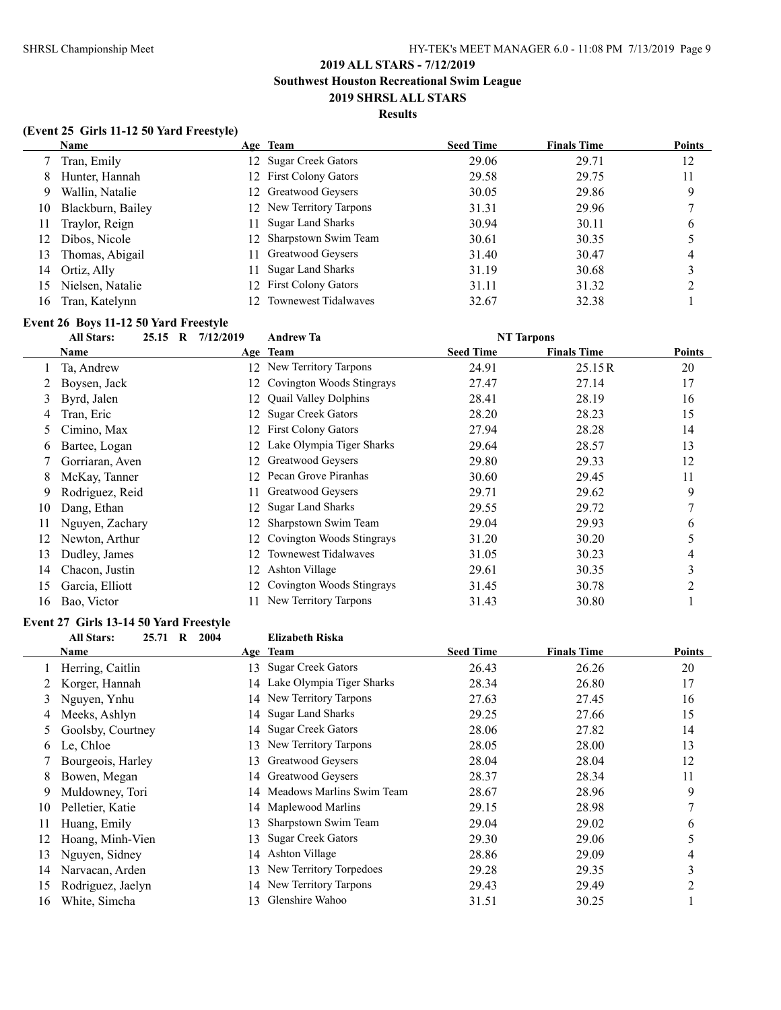### **Results**

### **(Event 25 Girls 11-12 50 Yard Freestyle)**

|    | <b>Name</b>       |    | Age Team                    | <b>Seed Time</b> | <b>Finals Time</b> | <b>Points</b> |
|----|-------------------|----|-----------------------------|------------------|--------------------|---------------|
|    | Tran, Emily       |    | 12 Sugar Creek Gators       | 29.06            | 29.71              | 12            |
| 8  | Hunter, Hannah    |    | 12 First Colony Gators      | 29.58            | 29.75              | 11            |
| 9. | Wallin, Natalie   |    | 12 Greatwood Geysers        | 30.05            | 29.86              | 9             |
| 10 | Blackburn, Bailey |    | 12 New Territory Tarpons    | 31.31            | 29.96              |               |
| 11 | Traylor, Reign    | 11 | <b>Sugar Land Sharks</b>    | 30.94            | 30.11              | b             |
| 12 | Dibos, Nicole     |    | 12 Sharpstown Swim Team     | 30.61            | 30.35              |               |
| 13 | Thomas, Abigail   | 11 | Greatwood Geysers           | 31.40            | 30.47              | 4             |
| 14 | Ortiz, Ally       | 11 | Sugar Land Sharks           | 31.19            | 30.68              |               |
| 15 | Nielsen, Natalie  |    | 12 First Colony Gators      | 31.11            | 31.32              |               |
| 16 | Tran, Katelynn    |    | <b>Townewest Tidalwaves</b> | 32.67            | 32.38              |               |

# **Event 26 Boys 11-12 50 Yard Freestyle**

|    | <b>All Stars:</b><br>$25.15$ R | 7/12/2019 | <b>Andrew Ta</b>             |                  | <b>NT Tarpons</b>  |                |
|----|--------------------------------|-----------|------------------------------|------------------|--------------------|----------------|
|    | Name                           |           | Age Team                     | <b>Seed Time</b> | <b>Finals Time</b> | <b>Points</b>  |
|    | Ta, Andrew                     | 12.       | New Territory Tarpons        | 24.91            | 25.15R             | 20             |
|    | Boysen, Jack                   | 12        | Covington Woods Stingrays    | 27.47            | 27.14              | 17             |
| 3  | Byrd, Jalen                    | 12.       | <b>Quail Valley Dolphins</b> | 28.41            | 28.19              | 16             |
| 4  | Tran, Eric                     | 12        | <b>Sugar Creek Gators</b>    | 28.20            | 28.23              | 15             |
| 5  | Cimino, Max                    | 12.       | <b>First Colony Gators</b>   | 27.94            | 28.28              | 14             |
| 6  | Bartee, Logan                  | 12        | Lake Olympia Tiger Sharks    | 29.64            | 28.57              | 13             |
|    | Gorriaran, Aven                | 12.       | Greatwood Geysers            | 29.80            | 29.33              | 12             |
| 8  | McKay, Tanner                  | 12.       | Pecan Grove Piranhas         | 30.60            | 29.45              | 11             |
| 9  | Rodriguez, Reid                |           | Greatwood Geysers            | 29.71            | 29.62              | 9              |
| 10 | Dang, Ethan                    | 12.       | <b>Sugar Land Sharks</b>     | 29.55            | 29.72              |                |
| 11 | Nguyen, Zachary                |           | Sharpstown Swim Team         | 29.04            | 29.93              | 6              |
| 12 | Newton, Arthur                 |           | Covington Woods Stingrays    | 31.20            | 30.20              | 5              |
| 13 | Dudley, James                  | 12        | Townewest Tidalwaves         | 31.05            | 30.23              | 4              |
| 14 | Chacon, Justin                 | 12.       | Ashton Village               | 29.61            | 30.35              | 3              |
| 15 | Garcia, Elliott                | 12.       | Covington Woods Stingrays    | 31.45            | 30.78              | $\mathfrak{D}$ |
| 16 | Bao, Victor                    |           | New Territory Tarpons        | 31.43            | 30.80              |                |

# **Event 27 Girls 13-14 50 Yard Freestyle**

#### **All Stars: 25.71 R 2004 Elizabeth Riska**

|    | Name              |    | Age Team                     | <b>Seed Time</b> | <b>Finals Time</b> | <b>Points</b> |
|----|-------------------|----|------------------------------|------------------|--------------------|---------------|
|    | Herring, Caitlin  | 13 | <b>Sugar Creek Gators</b>    | 26.43            | 26.26              | 20            |
|    | Korger, Hannah    |    | 14 Lake Olympia Tiger Sharks | 28.34            | 26.80              | 17            |
| 3  | Nguyen, Ynhu      |    | 14 New Territory Tarpons     | 27.63            | 27.45              | 16            |
| 4  | Meeks, Ashlyn     |    | 14 Sugar Land Sharks         | 29.25            | 27.66              | 15            |
| 5  | Goolsby, Courtney |    | 14 Sugar Creek Gators        | 28.06            | 27.82              | 14            |
| 6  | Le, Chloe         | 13 | New Territory Tarpons        | 28.05            | 28.00              | 13            |
|    | Bourgeois, Harley | 13 | Greatwood Geysers            | 28.04            | 28.04              | 12            |
| 8  | Bowen, Megan      |    | 14 Greatwood Geysers         | 28.37            | 28.34              | 11            |
| 9  | Muldowney, Tori   |    | 14 Meadows Marlins Swim Team | 28.67            | 28.96              | 9             |
| 10 | Pelletier, Katie  |    | 14 Maplewood Marlins         | 29.15            | 28.98              |               |
| 11 | Huang, Emily      | 13 | Sharpstown Swim Team         | 29.04            | 29.02              | 6             |
| 12 | Hoang, Minh-Vien  | 13 | <b>Sugar Creek Gators</b>    | 29.30            | 29.06              | 5             |
| 13 | Nguyen, Sidney    |    | 14 Ashton Village            | 28.86            | 29.09              | 4             |
| 14 | Narvacan, Arden   | 13 | New Territory Torpedoes      | 29.28            | 29.35              | 3             |
| 15 | Rodriguez, Jaelyn |    | 14 New Territory Tarpons     | 29.43            | 29.49              | 2             |
| 16 | White, Simcha     | 13 | Glenshire Wahoo              | 31.51            | 30.25              |               |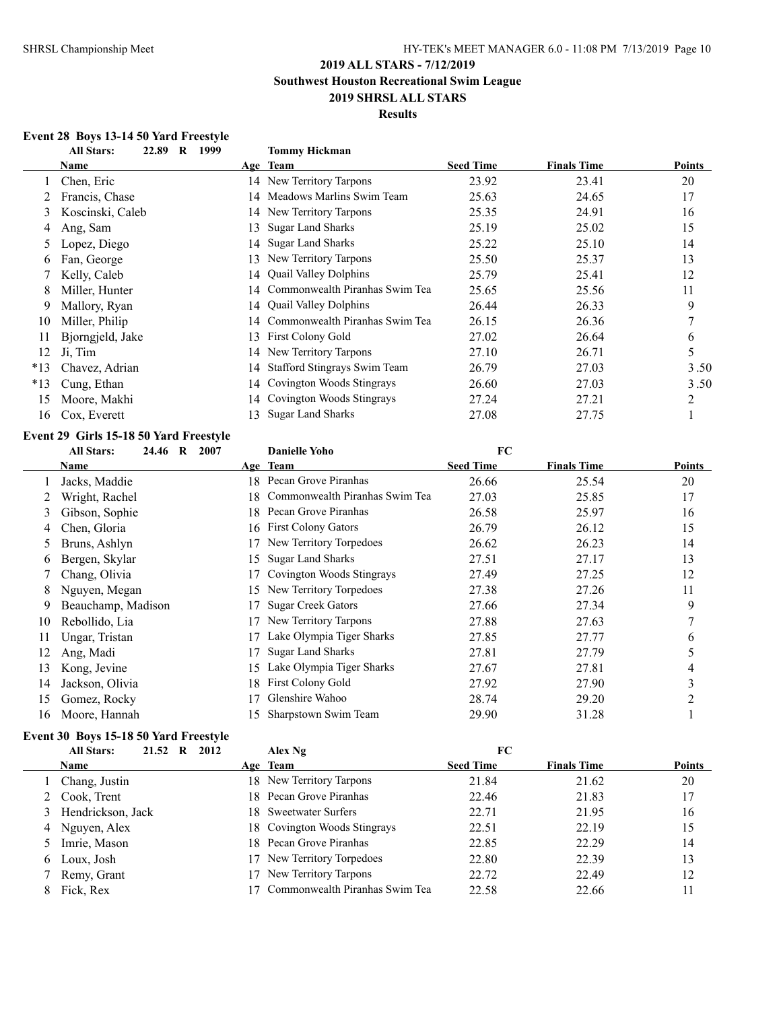**Southwest Houston Recreational Swim League**

### **2019 SHRSL ALL STARS Results**

### **Event 28 Boys 13-14 50 Yard Freestyle**

|       | 22.89<br><b>All Stars:</b><br>$\mathbf R$<br>1999 |     | <b>Tommy Hickman</b>                |                  |                    |                |
|-------|---------------------------------------------------|-----|-------------------------------------|------------------|--------------------|----------------|
|       | Name                                              |     | Age Team                            | <b>Seed Time</b> | <b>Finals Time</b> | <b>Points</b>  |
|       | Chen, Eric                                        |     | 14 New Territory Tarpons            | 23.92            | 23.41              | 20             |
|       | Francis, Chase                                    | 14  | Meadows Marlins Swim Team           | 25.63            | 24.65              | 17             |
| 3     | Koscinski, Caleb                                  |     | 14 New Territory Tarpons            | 25.35            | 24.91              | 16             |
| 4     | Ang, Sam                                          | 13  | <b>Sugar Land Sharks</b>            | 25.19            | 25.02              | 15             |
|       | Lopez, Diego                                      | 14  | <b>Sugar Land Sharks</b>            | 25.22            | 25.10              | 14             |
| 6     | Fan, George                                       | 13  | New Territory Tarpons               | 25.50            | 25.37              | 13             |
|       | Kelly, Caleb                                      | 14  | <b>Quail Valley Dolphins</b>        | 25.79            | 25.41              | 12             |
| 8     | Miller, Hunter                                    | 14  | Commonwealth Piranhas Swim Tea      | 25.65            | 25.56              | 11             |
| 9.    | Mallory, Ryan                                     | 14  | <b>Quail Valley Dolphins</b>        | 26.44            | 26.33              | 9              |
| 10    | Miller, Philip                                    | 14  | Commonwealth Piranhas Swim Tea      | 26.15            | 26.36              | $\overline{7}$ |
| 11    | Bjorngjeld, Jake                                  | 13  | <b>First Colony Gold</b>            | 27.02            | 26.64              | 6              |
| 12    | Ji, Tim                                           | 14  | New Territory Tarpons               | 27.10            | 26.71              | 5              |
| $*13$ | Chavez, Adrian                                    | 14  | <b>Stafford Stingrays Swim Team</b> | 26.79            | 27.03              | 3.50           |
| $*13$ | Cung, Ethan                                       | 14  | Covington Woods Stingrays           | 26.60            | 27.03              | 3.50           |
| 15    | Moore, Makhi                                      | 14  | Covington Woods Stingrays           | 27.24            | 27.21              | 2              |
| 16    | Cox, Everett                                      | 13. | <b>Sugar Land Sharks</b>            | 27.08            | 27.75              |                |

### **Event 29 Girls 15-18 50 Yard Freestyle**

|    | <b>All Stars:</b><br>24.46 R<br>2007 |     | <b>Danielle Yoho</b>           | FC               |                    |               |
|----|--------------------------------------|-----|--------------------------------|------------------|--------------------|---------------|
|    | Name                                 |     | Age Team                       | <b>Seed Time</b> | <b>Finals Time</b> | <b>Points</b> |
|    | Jacks, Maddie                        | 18. | Pecan Grove Piranhas           | 26.66            | 25.54              | 20            |
|    | Wright, Rachel                       | 18. | Commonwealth Piranhas Swim Tea | 27.03            | 25.85              | 17            |
| 3  | Gibson, Sophie                       |     | 18 Pecan Grove Piranhas        | 26.58            | 25.97              | 16            |
| 4  | Chen, Gloria                         |     | 16 First Colony Gators         | 26.79            | 26.12              | 15            |
| 5  | Bruns, Ashlyn                        |     | New Territory Torpedoes        | 26.62            | 26.23              | 14            |
| 6  | Bergen, Skylar                       | 15. | <b>Sugar Land Sharks</b>       | 27.51            | 27.17              | 13            |
|    | Chang, Olivia                        |     | Covington Woods Stingrays      | 27.49            | 27.25              | 12            |
| 8  | Nguyen, Megan                        | 15  | New Territory Torpedoes        | 27.38            | 27.26              | 11            |
| 9  | Beauchamp, Madison                   |     | <b>Sugar Creek Gators</b>      | 27.66            | 27.34              | 9             |
| 10 | Rebollido, Lia                       |     | New Territory Tarpons          | 27.88            | 27.63              | $\mathcal{I}$ |
| 11 | Ungar, Tristan                       |     | Lake Olympia Tiger Sharks      | 27.85            | 27.77              | 6             |
| 12 | Ang, Madi                            |     | <b>Sugar Land Sharks</b>       | 27.81            | 27.79              | 5             |
| 13 | Kong, Jevine                         | 15. | Lake Olympia Tiger Sharks      | 27.67            | 27.81              | 4             |
| 14 | Jackson, Olivia                      | 18. | <b>First Colony Gold</b>       | 27.92            | 27.90              | 3             |
| 15 | Gomez, Rocky                         |     | Glenshire Wahoo                | 28.74            | 29.20              | 2             |
| 16 | Moore, Hannah                        | 15. | Sharpstown Swim Team           | 29.90            | 31.28              |               |
|    |                                      |     |                                |                  |                    |               |

# **Event 30 Boys 15-18 50 Yard Freestyle**

|   | <b>All Stars:</b><br>21.52<br>R | 2012 | Alex Ng                        | FC               |                    |               |
|---|---------------------------------|------|--------------------------------|------------------|--------------------|---------------|
|   | <b>Name</b>                     |      | Age Team                       | <b>Seed Time</b> | <b>Finals Time</b> | <b>Points</b> |
|   | 1 Chang, Justin                 | 18   | New Territory Tarpons          | 21.84            | 21.62              | 20            |
|   | 2 Cook, Trent                   |      | 18 Pecan Grove Piranhas        | 22.46            | 21.83              | 17            |
|   | 3 Hendrickson, Jack             |      | 18 Sweetwater Surfers          | 22.71            | 21.95              | 16            |
|   | 4 Nguyen, Alex                  |      | 18 Covington Woods Stingrays   | 22.51            | 22.19              | 15            |
|   | 5 Imrie, Mason                  |      | 18 Pecan Grove Piranhas        | 22.85            | 22.29              | 14            |
| 6 | Loux, Josh                      | 17   | New Territory Torpedoes        | 22.80            | 22.39              | 13            |
|   | Remy, Grant                     |      | New Territory Tarpons          | 22.72            | 22.49              | 12            |
|   | Fick, Rex                       |      | Commonwealth Piranhas Swim Tea | 22.58            | 22.66              | 11            |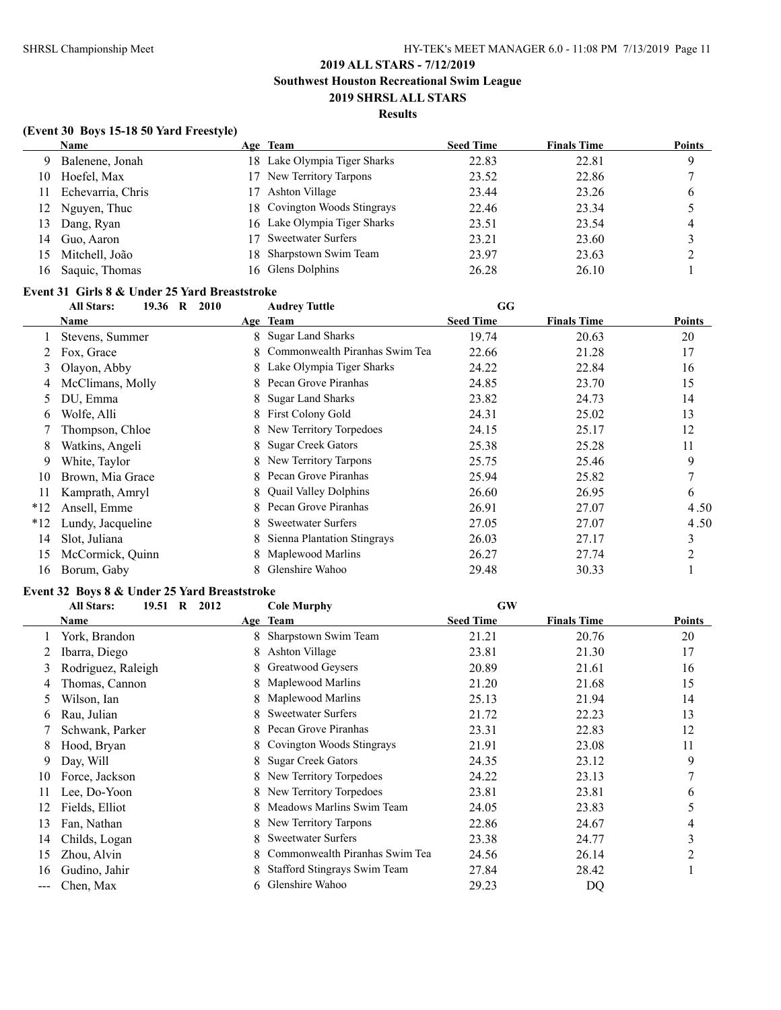### **Results**

### **(Event 30 Boys 15-18 50 Yard Freestyle)**

|     | <b>Name</b>       |    | Age Team                     | <b>Seed Time</b> | <b>Finals Time</b> | <b>Points</b> |
|-----|-------------------|----|------------------------------|------------------|--------------------|---------------|
| 9   | Balenene, Jonah   |    | 18 Lake Olympia Tiger Sharks | 22.83            | 22.81              | 9             |
| 10  | Hoefel, Max       | 17 | New Territory Tarpons        | 23.52            | 22.86              |               |
|     | Echevarria, Chris |    | Ashton Village               | 23.44            | 23.26              | O             |
| 12. | Nguyen, Thuc      |    | 18 Covington Woods Stingrays | 22.46            | 23.34              |               |
| 13  | Dang, Ryan        |    | 16 Lake Olympia Tiger Sharks | 23.51            | 23.54              | 4             |
| 14  | Guo, Aaron        |    | <b>Sweetwater Surfers</b>    | 23.21            | 23.60              |               |
| 15  | Mitchell, João    |    | 18 Sharpstown Swim Team      | 23.97            | 23.63              |               |
| 16  | Saquic, Thomas    |    | 16 Glens Dolphins            | 26.28            | 26.10              |               |

### **Event 31 Girls 8 & Under 25 Yard Breaststroke**

|       | ship o w chuci so taru breascaran<br>19.36 R 2010<br><b>All Stars:</b> |    | <b>Audrey Tuttle</b>           | GG               |                    |               |
|-------|------------------------------------------------------------------------|----|--------------------------------|------------------|--------------------|---------------|
|       | Name                                                                   |    | Age Team                       | <b>Seed Time</b> | <b>Finals Time</b> | <b>Points</b> |
|       | Stevens, Summer                                                        | 8  | <b>Sugar Land Sharks</b>       | 19.74            | 20.63              | 20            |
|       | Fox, Grace                                                             | 8  | Commonwealth Piranhas Swim Tea | 22.66            | 21.28              | 17            |
| 3     | Olayon, Abby                                                           |    | 8 Lake Olympia Tiger Sharks    | 24.22            | 22.84              | 16            |
|       | McClimans, Molly                                                       |    | Pecan Grove Piranhas           | 24.85            | 23.70              | 15            |
| 5.    | DU, Emma                                                               | 8. | <b>Sugar Land Sharks</b>       | 23.82            | 24.73              | 14            |
| 6     | Wolfe, Alli                                                            |    | 8 First Colony Gold            | 24.31            | 25.02              | 13            |
|       | Thompson, Chloe                                                        |    | 8 New Territory Torpedoes      | 24.15            | 25.17              | 12            |
| 8     | Watkins, Angeli                                                        |    | <b>Sugar Creek Gators</b>      | 25.38            | 25.28              | 11            |
| 9     | White, Taylor                                                          |    | New Territory Tarpons          | 25.75            | 25.46              | 9             |
| 10    | Brown, Mia Grace                                                       |    | Pecan Grove Piranhas           | 25.94            | 25.82              | 7             |
| 11    | Kamprath, Amryl                                                        | 8  | <b>Quail Valley Dolphins</b>   | 26.60            | 26.95              | 6             |
| $*12$ | Ansell, Emme                                                           | 8  | Pecan Grove Piranhas           | 26.91            | 27.07              | 4.50          |
| $*12$ | Lundy, Jacqueline                                                      | 8  | Sweetwater Surfers             | 27.05            | 27.07              | 4.50          |
| 14    | Slot, Juliana                                                          |    | Sienna Plantation Stingrays    | 26.03            | 27.17              | 3             |
| 15    | McCormick, Quinn                                                       | 8  | Maplewood Marlins              | 26.27            | 27.74              | 2             |
| 16    | Borum, Gaby                                                            |    | Glenshire Wahoo                | 29.48            | 30.33              |               |

#### **Event 32 Boys 8 & Under 25 Yard Breaststroke**

|     | <b>All Stars:</b><br>19.51 R<br>2012 |    | <b>Cole Murphy</b>                  | <b>GW</b>        |                    |                |
|-----|--------------------------------------|----|-------------------------------------|------------------|--------------------|----------------|
|     | Name                                 |    | Age Team                            | <b>Seed Time</b> | <b>Finals Time</b> | Points         |
|     | York, Brandon                        | 8  | Sharpstown Swim Team                | 21.21            | 20.76              | 20             |
|     | Ibarra, Diego                        |    | Ashton Village                      | 23.81            | 21.30              | 17             |
| 3   | Rodriguez, Raleigh                   | 8. | Greatwood Geysers                   | 20.89            | 21.61              | 16             |
| 4   | Thomas, Cannon                       |    | Maplewood Marlins                   | 21.20            | 21.68              | 15             |
| 5   | Wilson, Ian                          | 8  | Maplewood Marlins                   | 25.13            | 21.94              | 14             |
| 6   | Rau, Julian                          | 8  | <b>Sweetwater Surfers</b>           | 21.72            | 22.23              | 13             |
|     | Schwank, Parker                      | 8. | Pecan Grove Piranhas                | 23.31            | 22.83              | 12             |
| 8   | Hood, Bryan                          | 8. | Covington Woods Stingrays           | 21.91            | 23.08              | 11             |
| 9   | Day, Will                            | 8. | <b>Sugar Creek Gators</b>           | 24.35            | 23.12              | 9              |
| 10  | Force, Jackson                       | 8. | New Territory Torpedoes             | 24.22            | 23.13              | $\overline{7}$ |
| 11  | Lee, Do-Yoon                         | 8. | New Territory Torpedoes             | 23.81            | 23.81              | 6              |
| 12  | Fields, Elliot                       | 8  | Meadows Marlins Swim Team           | 24.05            | 23.83              |                |
| 13  | Fan, Nathan                          | 8. | New Territory Tarpons               | 22.86            | 24.67              | 4              |
| 14  | Childs, Logan                        | 8. | Sweetwater Surfers                  | 23.38            | 24.77              | 3              |
| 15  | Zhou, Alvin                          | 8  | Commonwealth Piranhas Swim Tea      | 24.56            | 26.14              | $\mathfrak{D}$ |
| 16  | Gudino, Jahir                        | 8. | <b>Stafford Stingrays Swim Team</b> | 27.84            | 28.42              |                |
| --- | Chen, Max                            | 6. | Glenshire Wahoo                     | 29.23            | DQ                 |                |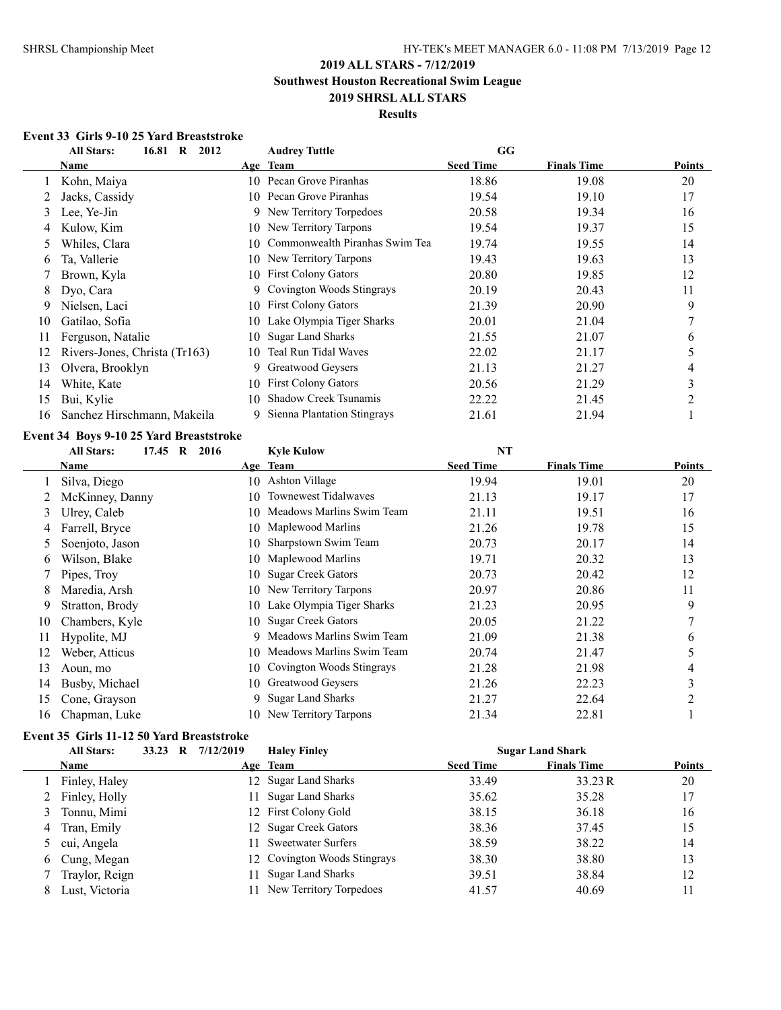## **Results**

### **Event 33 Girls 9-10 25 Yard Breaststroke**

|    | 16.81 R<br><b>All Stars:</b><br>2012 |     | <b>Audrey Tuttle</b>           | GG               |                    |                |
|----|--------------------------------------|-----|--------------------------------|------------------|--------------------|----------------|
|    | Name                                 |     | Age Team                       | <b>Seed Time</b> | <b>Finals Time</b> | Points         |
|    | Kohn, Maiya                          | 10. | Pecan Grove Piranhas           | 18.86            | 19.08              | 20             |
|    | Jacks, Cassidy                       |     | 10 Pecan Grove Piranhas        | 19.54            | 19.10              | 17             |
| 3  | Lee, Ye-Jin                          | 9   | New Territory Torpedoes        | 20.58            | 19.34              | 16             |
| 4  | Kulow, Kim                           | 10  | New Territory Tarpons          | 19.54            | 19.37              | 15             |
| 5. | Whiles, Clara                        | 10  | Commonwealth Piranhas Swim Tea | 19.74            | 19.55              | 14             |
| b  | Ta, Vallerie                         | 10  | New Territory Tarpons          | 19.43            | 19.63              | 13             |
|    | Brown, Kyla                          | 10  | <b>First Colony Gators</b>     | 20.80            | 19.85              | 12             |
| 8  | Dyo, Cara                            | 9.  | Covington Woods Stingrays      | 20.19            | 20.43              | 11             |
| 9  | Nielsen, Laci                        | 10  | <b>First Colony Gators</b>     | 21.39            | 20.90              | 9              |
| 10 | Gatilao, Sofia                       | 10  | Lake Olympia Tiger Sharks      | 20.01            | 21.04              | $\overline{7}$ |
| 11 | Ferguson, Natalie                    | 10  | <b>Sugar Land Sharks</b>       | 21.55            | 21.07              | 6              |
| 12 | Rivers-Jones, Christa (Tr163)        | 10  | Teal Run Tidal Waves           | 22.02            | 21.17              | 5              |
| 13 | Olvera, Brooklyn                     | 9.  | Greatwood Geysers              | 21.13            | 21.27              | 4              |
| 14 | White, Kate                          | 10  | <b>First Colony Gators</b>     | 20.56            | 21.29              | 3              |
| 15 | Bui, Kylie                           | 10  | <b>Shadow Creek Tsunamis</b>   | 22.22            | 21.45              | $\mathfrak{D}$ |
| 16 | Sanchez Hirschmann, Makeila          | 9   | Sienna Plantation Stingrays    | 21.61            | 21.94              |                |

### **Event 34 Boys 9-10 25 Yard Breaststroke**

|    | <b>All Stars:</b><br>17.45 R<br>2016 |     | <b>Kyle Kulow</b>         | <b>NT</b>        |                    |               |
|----|--------------------------------------|-----|---------------------------|------------------|--------------------|---------------|
|    | Name                                 |     | Age Team                  | <b>Seed Time</b> | <b>Finals Time</b> | <b>Points</b> |
|    | Silva, Diego                         | 10  | Ashton Village            | 19.94            | 19.01              | 20            |
|    | McKinney, Danny                      | 10  | Townewest Tidalwaves      | 21.13            | 19.17              | 17            |
| 3  | Ulrey, Caleb                         | 10. | Meadows Marlins Swim Team | 21.11            | 19.51              | 16            |
| 4  | Farrell, Bryce                       | 10. | Maplewood Marlins         | 21.26            | 19.78              | 15            |
| 5  | Soenjoto, Jason                      | 10  | Sharpstown Swim Team      | 20.73            | 20.17              | 14            |
| b  | Wilson, Blake                        | 10  | Maplewood Marlins         | 19.71            | 20.32              | 13            |
|    | Pipes, Troy                          | 10. | <b>Sugar Creek Gators</b> | 20.73            | 20.42              | 12            |
| 8  | Maredia, Arsh                        | 10  | New Territory Tarpons     | 20.97            | 20.86              | 11            |
| 9  | Stratton, Brody                      | 10. | Lake Olympia Tiger Sharks | 21.23            | 20.95              | 9             |
| 10 | Chambers, Kyle                       | 10. | <b>Sugar Creek Gators</b> | 20.05            | 21.22              |               |
| 11 | Hypolite, MJ                         | 9   | Meadows Marlins Swim Team | 21.09            | 21.38              | 6             |
| 12 | Weber, Atticus                       | 10  | Meadows Marlins Swim Team | 20.74            | 21.47              | 5             |
| 13 | Aoun, mo                             | 10. | Covington Woods Stingrays | 21.28            | 21.98              | 4             |
| 14 | Busby, Michael                       | 10  | Greatwood Geysers         | 21.26            | 22.23              | 3             |
| 15 | Cone, Grayson                        | 9   | <b>Sugar Land Sharks</b>  | 21.27            | 22.64              | 2             |
| 16 | Chapman, Luke                        | 10. | New Territory Tarpons     | 21.34            | 22.81              |               |

### **Event 35 Girls 11-12 50 Yard Breaststroke**

| <b>All Stars:</b> |  | 33.23 R 7/12/2019 | <b>Haley Finley</b>          |                  | <b>Sugar Land Shark</b> |        |
|-------------------|--|-------------------|------------------------------|------------------|-------------------------|--------|
| <b>Name</b>       |  |                   | Age Team                     | <b>Seed Time</b> | <b>Finals Time</b>      | Points |
| Finley, Haley     |  |                   | 12 Sugar Land Sharks         | 33.49            | 33.23 R                 | 20     |
| 2 Finley, Holly   |  |                   | 11 Sugar Land Sharks         | 35.62            | 35.28                   | 17     |
| Tonnu, Mimi       |  |                   | 12 First Colony Gold         | 38.15            | 36.18                   | 16     |
| Tran, Emily       |  |                   | 12 Sugar Creek Gators        | 38.36            | 37.45                   | 15     |
| cui, Angela       |  |                   | 11 Sweetwater Surfers        | 38.59            | 38.22                   | 14     |
| 6 Cung, Megan     |  |                   | 12 Covington Woods Stingrays | 38.30            | 38.80                   | 13     |
| Traylor, Reign    |  | 11                | <b>Sugar Land Sharks</b>     | 39.51            | 38.84                   | 12     |
| Lust, Victoria    |  |                   | New Territory Torpedoes      | 41.57            | 40.69                   | 11     |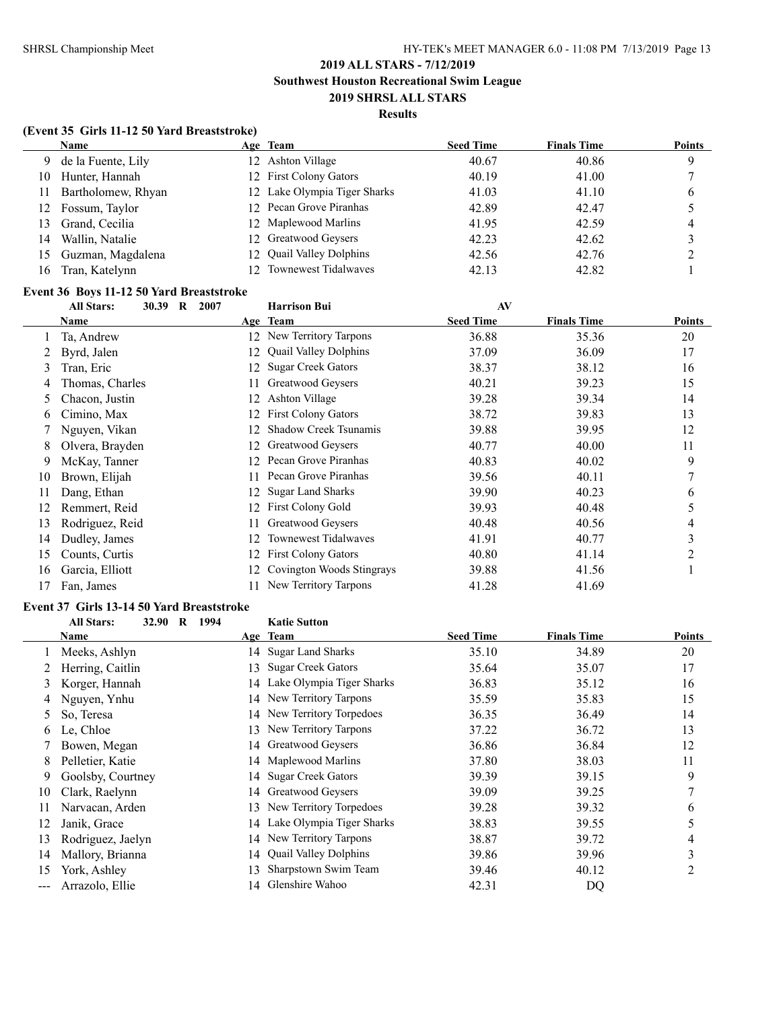### **Results**

### **(Event 35 Girls 11-12 50 Yard Breaststroke)**

|    | <b>Name</b>        | Age Team                     | <b>Seed Time</b> | <b>Finals Time</b> | <b>Points</b> |
|----|--------------------|------------------------------|------------------|--------------------|---------------|
| 9. | de la Fuente, Lily | 12 Ashton Village            | 40.67            | 40.86              | Q             |
| 10 | Hunter, Hannah     | 12 First Colony Gators       | 40.19            | 41.00              |               |
| 11 | Bartholomew, Rhyan | 12 Lake Olympia Tiger Sharks | 41.03            | 41.10              | 6             |
| 12 | Fossum, Taylor     | 12 Pecan Grove Piranhas      | 42.89            | 42.47              |               |
| 13 | Grand, Cecilia     | 12 Maplewood Marlins         | 41.95            | 42.59              | 4             |
| 14 | Wallin, Natalie    | 12 Greatwood Geysers         | 42.23            | 42.62              |               |
| 15 | Guzman, Magdalena  | 12 Quail Valley Dolphins     | 42.56            | 42.76              |               |
| 16 | Tran, Katelynn     | 12 Townewest Tidalwayes      | 42.13            | 42.82              |               |

# **Event 36 Boys 11-12 50 Yard Breaststroke**<br>all Stars: 30 39 R 2007

|    | Livent co "Doys" 11" 12" co "Tar a Divastisti one<br>30.39 R<br><b>All Stars:</b> | 2007 | <b>Harrison Bui</b>          | AV               |                    |               |
|----|-----------------------------------------------------------------------------------|------|------------------------------|------------------|--------------------|---------------|
|    | Name                                                                              |      | Age Team                     | <b>Seed Time</b> | <b>Finals Time</b> | <b>Points</b> |
|    | Ta, Andrew                                                                        | 12.  | New Territory Tarpons        | 36.88            | 35.36              | 20            |
|    | Byrd, Jalen                                                                       | 12.  | <b>Quail Valley Dolphins</b> | 37.09            | 36.09              | 17            |
| 3  | Tran, Eric                                                                        | 12.  | <b>Sugar Creek Gators</b>    | 38.37            | 38.12              | 16            |
| 4  | Thomas, Charles                                                                   | 11.  | Greatwood Geysers            | 40.21            | 39.23              | 15            |
| 5  | Chacon, Justin                                                                    | 12.  | Ashton Village               | 39.28            | 39.34              | 14            |
| 6  | Cimino, Max                                                                       | 12.  | <b>First Colony Gators</b>   | 38.72            | 39.83              | 13            |
|    | Nguyen, Vikan                                                                     | 12   | <b>Shadow Creek Tsunamis</b> | 39.88            | 39.95              | 12            |
| 8  | Olvera, Brayden                                                                   | 12.  | Greatwood Geysers            | 40.77            | 40.00              | 11            |
| 9  | McKay, Tanner                                                                     | 12.  | Pecan Grove Piranhas         | 40.83            | 40.02              | 9             |
| 10 | Brown, Elijah                                                                     |      | Pecan Grove Piranhas         | 39.56            | 40.11              |               |
| 11 | Dang, Ethan                                                                       | 12.  | <b>Sugar Land Sharks</b>     | 39.90            | 40.23              | 6             |
| 12 | Remmert, Reid                                                                     | 12.  | <b>First Colony Gold</b>     | 39.93            | 40.48              | 5             |
| 13 | Rodriguez, Reid                                                                   |      | Greatwood Geysers            | 40.48            | 40.56              | 4             |
| 14 | Dudley, James                                                                     | 12   | Townewest Tidalwaves         | 41.91            | 40.77              | 3             |
| 15 | Counts, Curtis                                                                    | 12.  | <b>First Colony Gators</b>   | 40.80            | 41.14              | 2             |
| 16 | Garcia, Elliott                                                                   | 12   | Covington Woods Stingrays    | 39.88            | 41.56              |               |
| 17 | Fan, James                                                                        |      | New Territory Tarpons        | 41.28            | 41.69              |               |

### **Event 37 Girls 13-14 50 Yard Breaststroke**

|     | <b>All Stars:</b><br>32.90<br>1994<br>R | <b>Katie Sutton</b>                |                  |                    |                |
|-----|-----------------------------------------|------------------------------------|------------------|--------------------|----------------|
|     | Name                                    | Age Team                           | <b>Seed Time</b> | <b>Finals Time</b> | Points         |
|     | Meeks, Ashlyn                           | <b>Sugar Land Sharks</b><br>14     | 35.10            | 34.89              | 20             |
|     | Herring, Caitlin                        | <b>Sugar Creek Gators</b><br>13    | 35.64            | 35.07              | 17             |
| 3   | Korger, Hannah                          | Lake Olympia Tiger Sharks<br>14    | 36.83            | 35.12              | 16             |
| 4   | Nguyen, Ynhu                            | New Territory Tarpons<br>14        | 35.59            | 35.83              | 15             |
| 5.  | So. Teresa                              | 14 New Territory Torpedoes         | 36.35            | 36.49              | 14             |
| 6   | Le, Chloe                               | New Territory Tarpons<br>13        | 37.22            | 36.72              | 13             |
|     | Bowen, Megan                            | Greatwood Geysers<br>14            | 36.86            | 36.84              | 12             |
| 8   | Pelletier, Katie                        | Maplewood Marlins<br>14            | 37.80            | 38.03              | 11             |
| 9.  | Goolsby, Courtney                       | 14 Sugar Creek Gators              | 39.39            | 39.15              | 9              |
| 10  | Clark, Raelynn                          | Greatwood Geysers<br>14            | 39.09            | 39.25              | 7              |
| 11  | Narvacan, Arden                         | New Territory Torpedoes<br>13      | 39.28            | 39.32              | 6              |
| 12  | Janik, Grace                            | Lake Olympia Tiger Sharks<br>14    | 38.83            | 39.55              | 5              |
| 13  | Rodriguez, Jaelyn                       | New Territory Tarpons<br>14        | 38.87            | 39.72              | 4              |
| 14  | Mallory, Brianna                        | <b>Quail Valley Dolphins</b><br>14 | 39.86            | 39.96              | 3              |
| 15  | York, Ashley                            | Sharpstown Swim Team<br>13         | 39.46            | 40.12              | $\overline{2}$ |
| --- | Arrazolo, Ellie                         | Glenshire Wahoo<br>14              | 42.31            | DQ                 |                |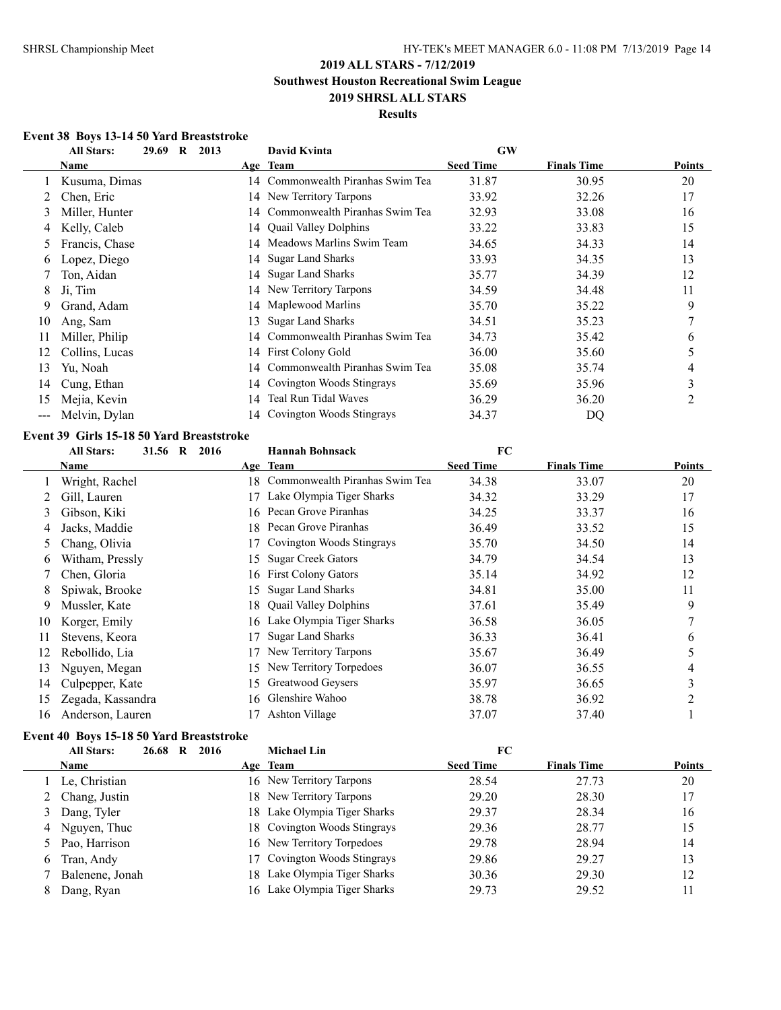# **2019 ALL STARS - 7/12/2019 Southwest Houston Recreational Swim League**

**2019 SHRSL ALL STARS**

# **Results**

### **Event 38 Boys 13-14 50 Yard Breaststroke**

|       | <b>All Stars:</b><br>29.69<br>$\bf{R}$<br>2013 |     | David Kvinta                      | <b>GW</b>        |                    |               |
|-------|------------------------------------------------|-----|-----------------------------------|------------------|--------------------|---------------|
|       | Name                                           |     | Age Team                          | <b>Seed Time</b> | <b>Finals Time</b> | <b>Points</b> |
|       | Kusuma, Dimas                                  |     | 14 Commonwealth Piranhas Swim Tea | 31.87            | 30.95              | 20            |
|       | Chen, Eric                                     |     | 14 New Territory Tarpons          | 33.92            | 32.26              | 17            |
| 3     | Miller, Hunter                                 | 14  | Commonwealth Piranhas Swim Tea    | 32.93            | 33.08              | 16            |
| 4     | Kelly, Caleb                                   |     | 14 Quail Valley Dolphins          | 33.22            | 33.83              | 15            |
| 5     | Francis, Chase                                 | 14  | Meadows Marlins Swim Team         | 34.65            | 34.33              | 14            |
| 6     | Lopez, Diego                                   |     | 14 Sugar Land Sharks              | 33.93            | 34.35              | 13            |
|       | Ton, Aidan                                     |     | 14 Sugar Land Sharks              | 35.77            | 34.39              | 12            |
| 8     | Ji, Tim                                        |     | 14 New Territory Tarpons          | 34.59            | 34.48              | 11            |
| 9     | Grand, Adam                                    |     | 14 Maplewood Marlins              | 35.70            | 35.22              | 9             |
| 10    | Ang, Sam                                       | 13  | <b>Sugar Land Sharks</b>          | 34.51            | 35.23              | 7             |
| 11    | Miller, Philip                                 |     | 14 Commonwealth Piranhas Swim Tea | 34.73            | 35.42              | 6             |
| 12    | Collins, Lucas                                 |     | 14 First Colony Gold              | 36.00            | 35.60              | 5             |
| 13    | Yu, Noah                                       | 14. | Commonwealth Piranhas Swim Tea    | 35.08            | 35.74              | 4             |
| 14    | Cung, Ethan                                    | 14  | Covington Woods Stingrays         | 35.69            | 35.96              | 3             |
| 15    | Mejia, Kevin                                   | 14  | Teal Run Tidal Waves              | 36.29            | 36.20              | 2             |
| $---$ | Melvin, Dylan                                  |     | 14 Covington Woods Stingrays      | 34.37            | DQ                 |               |

# **Event 39 Girls 15-18 50 Yard Breaststroke**

|               | <b>All Stars:</b><br>31.56 R<br>2016 |     | <b>Hannah Bohnsack</b>         | FC               |                    |                |
|---------------|--------------------------------------|-----|--------------------------------|------------------|--------------------|----------------|
|               | Name                                 |     | Age Team                       | <b>Seed Time</b> | <b>Finals Time</b> | Points         |
|               | Wright, Rachel                       | 18. | Commonwealth Piranhas Swim Tea | 34.38            | 33.07              | 20             |
|               | Gill, Lauren                         | 17  | Lake Olympia Tiger Sharks      | 34.32            | 33.29              | 17             |
| 3             | Gibson, Kiki                         | 16. | Pecan Grove Piranhas           | 34.25            | 33.37              | 16             |
| 4             | Jacks, Maddie                        | 18. | Pecan Grove Piranhas           | 36.49            | 33.52              | 15             |
| $\mathcal{L}$ | Chang, Olivia                        |     | Covington Woods Stingrays      | 35.70            | 34.50              | 14             |
| 6             | Witham, Pressly                      | 15  | <b>Sugar Creek Gators</b>      | 34.79            | 34.54              | 13             |
|               | Chen, Gloria                         | 16  | <b>First Colony Gators</b>     | 35.14            | 34.92              | 12             |
| 8             | Spiwak, Brooke                       | 15  | <b>Sugar Land Sharks</b>       | 34.81            | 35.00              | 11             |
| 9             | Mussler, Kate                        | 18. | <b>Quail Valley Dolphins</b>   | 37.61            | 35.49              | 9              |
| 10            | Korger, Emily                        | 16  | Lake Olympia Tiger Sharks      | 36.58            | 36.05              | $\overline{7}$ |
| 11            | Stevens, Keora                       | 17  | Sugar Land Sharks              | 36.33            | 36.41              | 6              |
| 12            | Rebollido, Lia                       |     | New Territory Tarpons          | 35.67            | 36.49              | 5              |
| 13            | Nguyen, Megan                        | 15  | New Territory Torpedoes        | 36.07            | 36.55              | 4              |
| 14            | Culpepper, Kate                      | 15. | Greatwood Geysers              | 35.97            | 36.65              | 3              |
| 15            | Zegada, Kassandra                    | 16  | Glenshire Wahoo                | 38.78            | 36.92              | 2              |
| 16            | Anderson, Lauren                     | 17  | Ashton Village                 | 37.07            | 37.40              |                |

# **Event 40 Boys 15-18 50 Yard Breaststroke**

|   | <b>All Stars:</b> | 26.68 | 2016<br>R |     | <b>Michael Lin</b>           | FC               |                    |        |
|---|-------------------|-------|-----------|-----|------------------------------|------------------|--------------------|--------|
|   | <b>Name</b>       |       |           |     | Age Team                     | <b>Seed Time</b> | <b>Finals Time</b> | Points |
|   | Le, Christian     |       |           |     | 16 New Territory Tarpons     | 28.54            | 27.73              | 20     |
|   | 2 Chang, Justin   |       |           |     | 18 New Territory Tarpons     | 29.20            | 28.30              | 17     |
|   | 3 Dang, Tyler     |       |           |     | 18 Lake Olympia Tiger Sharks | 29.37            | 28.34              | 16     |
|   | 4 Nguyen, Thuc    |       |           |     | 18 Covington Woods Stingrays | 29.36            | 28.77              | 15     |
|   | 5 Pao, Harrison   |       |           |     | 16 New Territory Torpedoes   | 29.78            | 28.94              | 14     |
| 6 | Tran, Andy        |       |           |     | 17 Covington Woods Stingrays | 29.86            | 29.27              | 13     |
|   | Balenene, Jonah   |       |           | 18. | Lake Olympia Tiger Sharks    | 30.36            | 29.30              | 12     |
|   | Dang, Ryan        |       |           | 16  | Lake Olympia Tiger Sharks    | 29.73            | 29.52              | 11     |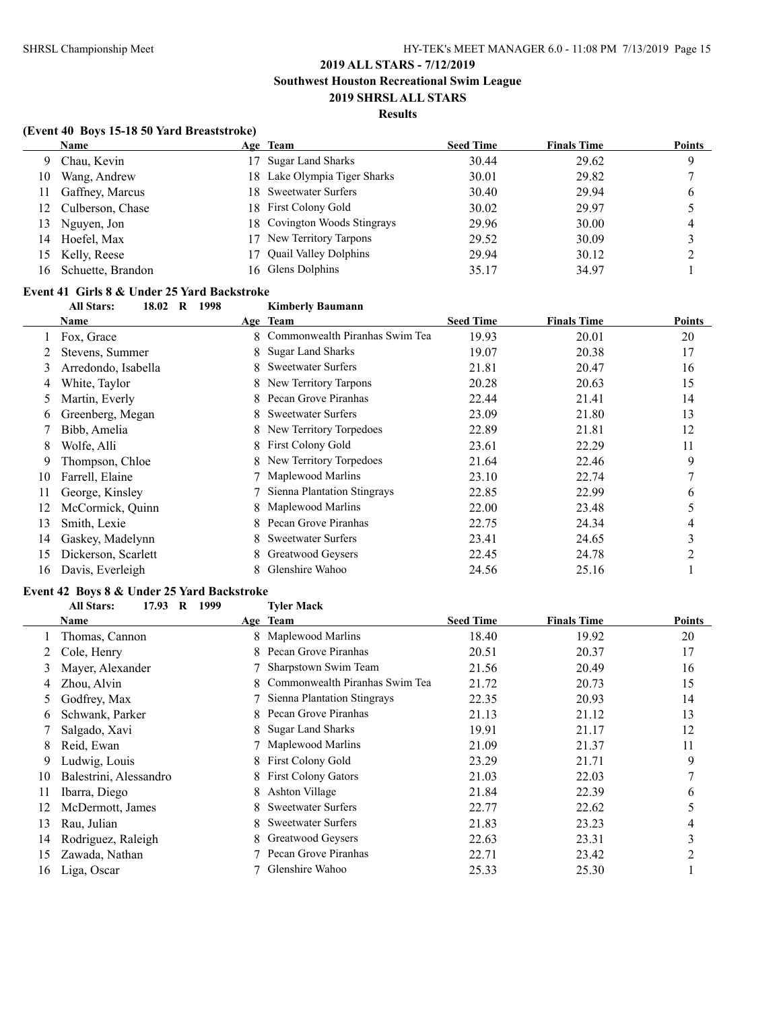### **Results**

### **(Event 40 Boys 15-18 50 Yard Breaststroke)**

|     | <b>Name</b>         |    | Age Team                     | <b>Seed Time</b> | <b>Finals Time</b> | <b>Points</b> |
|-----|---------------------|----|------------------------------|------------------|--------------------|---------------|
| 9   | Chau, Kevin         | 17 | <b>Sugar Land Sharks</b>     | 30.44            | 29.62              | Q             |
| 10  | Wang, Andrew        |    | 18 Lake Olympia Tiger Sharks | 30.01            | 29.82              |               |
| 11  | Gaffney, Marcus     |    | 18 Sweetwater Surfers        | 30.40            | 29.94              | 6             |
|     | 12 Culberson, Chase |    | 18 First Colony Gold         | 30.02            | 29.97              |               |
| 13  | Nguyen, Jon         |    | 18 Covington Woods Stingrays | 29.96            | 30.00              | 4             |
| 14  | Hoefel, Max         | 17 | New Territory Tarpons        | 29.52            | 30.09              |               |
|     | 15 Kelly, Reese     |    | <b>Quail Valley Dolphins</b> | 29.94            | 30.12              |               |
| 16. | Schuette, Brandon   |    | 16 Glens Dolphins            | 35.17            | 34.97              |               |

# **Event 41 Girls 8 & Under 25 Yard Backstroke**

**All Stars: 18.02 R 1998 Kimberly Baumann**

|    | <b>Name</b>         |    | Age Team                       | <b>Seed Time</b> | <b>Finals Time</b> | <b>Points</b> |
|----|---------------------|----|--------------------------------|------------------|--------------------|---------------|
|    | Fox, Grace          | 8. | Commonwealth Piranhas Swim Tea | 19.93            | 20.01              | 20            |
|    | Stevens, Summer     |    | 8 Sugar Land Sharks            | 19.07            | 20.38              | 17            |
| 3  | Arredondo, Isabella |    | 8 Sweetwater Surfers           | 21.81            | 20.47              | 16            |
| 4  | White, Taylor       |    | 8 New Territory Tarpons        | 20.28            | 20.63              | 15            |
| 5  | Martin, Everly      | 8  | Pecan Grove Piranhas           | 22.44            | 21.41              | 14            |
| 6  | Greenberg, Megan    | 8  | <b>Sweetwater Surfers</b>      | 23.09            | 21.80              | 13            |
|    | Bibb, Amelia        |    | 8 New Territory Torpedoes      | 22.89            | 21.81              | 12            |
| 8  | Wolfe, Alli         | 8  | <b>First Colony Gold</b>       | 23.61            | 22.29              | 11            |
| 9  | Thompson, Chloe     |    | 8 New Territory Torpedoes      | 21.64            | 22.46              | 9             |
| 10 | Farrell, Elaine     |    | Maplewood Marlins              | 23.10            | 22.74              | 7             |
| 11 | George, Kinsley     |    | Sienna Plantation Stingrays    | 22.85            | 22.99              | 6             |
| 12 | McCormick, Quinn    | 8. | Maplewood Marlins              | 22.00            | 23.48              | 5             |
| 13 | Smith, Lexie        | 8  | Pecan Grove Piranhas           | 22.75            | 24.34              | 4             |
| 14 | Gaskey, Madelynn    | 8  | <b>Sweetwater Surfers</b>      | 23.41            | 24.65              | 3             |
| 15 | Dickerson, Scarlett | 8. | Greatwood Geysers              | 22.45            | 24.78              | າ             |
| 16 | Davis, Everleigh    |    | Glenshire Wahoo                | 24.56            | 25.16              |               |

### **Event 42 Boys 8 & Under 25 Yard Backstroke**

|    | <b>All Stars:</b><br>17.93 R<br>1999 |    | <b>Tyler Mack</b>              |                  |                    |               |
|----|--------------------------------------|----|--------------------------------|------------------|--------------------|---------------|
|    | Name                                 |    | Age Team                       | <b>Seed Time</b> | <b>Finals Time</b> | <b>Points</b> |
|    | Thomas, Cannon                       |    | 8 Maplewood Marlins            | 18.40            | 19.92              | 20            |
|    | Cole, Henry                          | 8. | Pecan Grove Piranhas           | 20.51            | 20.37              | 17            |
| 3  | Mayer, Alexander                     |    | Sharpstown Swim Team           | 21.56            | 20.49              | 16            |
| 4  | Zhou, Alvin                          | 8. | Commonwealth Piranhas Swim Tea | 21.72            | 20.73              | 15            |
| 5  | Godfrey, Max                         |    | Sienna Plantation Stingrays    | 22.35            | 20.93              | 14            |
| 6  | Schwank, Parker                      | 8  | Pecan Grove Piranhas           | 21.13            | 21.12              | 13            |
|    | Salgado, Xavi                        | 8  | <b>Sugar Land Sharks</b>       | 19.91            | 21.17              | 12            |
| 8  | Reid, Ewan                           |    | Maplewood Marlins              | 21.09            | 21.37              | 11            |
| 9  | Ludwig, Louis                        |    | 8 First Colony Gold            | 23.29            | 21.71              | 9             |
| 10 | Balestrini, Alessandro               |    | <b>First Colony Gators</b>     | 21.03            | 22.03              | 7             |
| 11 | Ibarra, Diego                        | 8. | Ashton Village                 | 21.84            | 22.39              | 6             |
| 12 | McDermott, James                     | 8. | <b>Sweetwater Surfers</b>      | 22.77            | 22.62              | 5             |
| 13 | Rau, Julian                          | 8  | <b>Sweetwater Surfers</b>      | 21.83            | 23.23              | 4             |
| 14 | Rodriguez, Raleigh                   | 8. | Greatwood Geysers              | 22.63            | 23.31              | 3             |
| 15 | Zawada, Nathan                       |    | Pecan Grove Piranhas           | 22.71            | 23.42              | 2             |
| 16 | Liga, Oscar                          |    | Glenshire Wahoo                | 25.33            | 25.30              |               |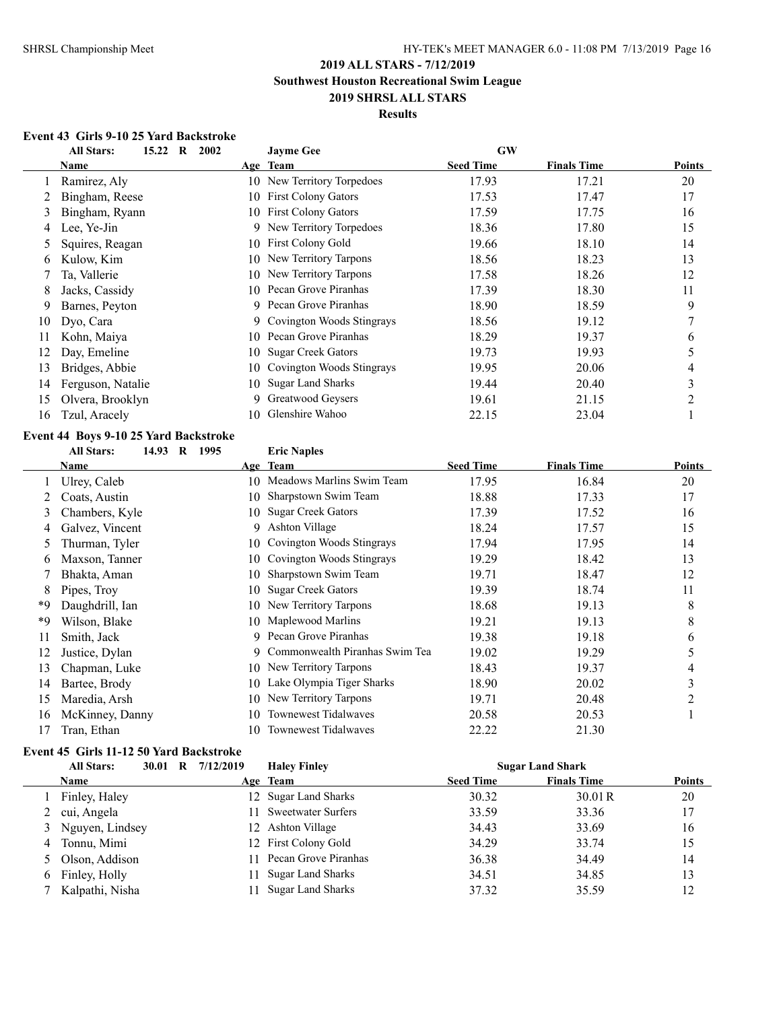### **Results**

### **Event 43 Girls 9-10 25 Yard Backstroke**

|    | <b>All Stars:</b><br>15.22<br>$\bf R$<br>2002 |     | <b>Jayme Gee</b>           | <b>GW</b>        |                    |               |
|----|-----------------------------------------------|-----|----------------------------|------------------|--------------------|---------------|
|    | Name                                          |     | Age Team                   | <b>Seed Time</b> | <b>Finals Time</b> | <b>Points</b> |
|    | Ramirez, Aly                                  |     | 10 New Territory Torpedoes | 17.93            | 17.21              | 20            |
|    | Bingham, Reese                                | 10  | <b>First Colony Gators</b> | 17.53            | 17.47              | 17            |
| 3  | Bingham, Ryann                                | 10  | <b>First Colony Gators</b> | 17.59            | 17.75              | 16            |
| 4  | Lee, Ye-Jin                                   | 9.  | New Territory Torpedoes    | 18.36            | 17.80              | 15            |
|    | Squires, Reagan                               | 10  | <b>First Colony Gold</b>   | 19.66            | 18.10              | 14            |
| 6  | Kulow, Kim                                    | 10  | New Territory Tarpons      | 18.56            | 18.23              | 13            |
|    | Ta, Vallerie                                  | 10  | New Territory Tarpons      | 17.58            | 18.26              | 12            |
| 8  | Jacks, Cassidy                                | 10. | Pecan Grove Piranhas       | 17.39            | 18.30              | 11            |
| 9  | Barnes, Peyton                                | 9   | Pecan Grove Piranhas       | 18.90            | 18.59              | 9             |
| 10 | Dyo, Cara                                     | 9.  | Covington Woods Stingrays  | 18.56            | 19.12              | $\mathcal{I}$ |
| 11 | Kohn, Maiya                                   | 10  | Pecan Grove Piranhas       | 18.29            | 19.37              | 6             |
| 12 | Day, Emeline                                  | 10  | <b>Sugar Creek Gators</b>  | 19.73            | 19.93              | 5             |
| 13 | Bridges, Abbie                                | 10  | Covington Woods Stingrays  | 19.95            | 20.06              | 4             |
| 14 | Ferguson, Natalie                             | 10  | <b>Sugar Land Sharks</b>   | 19.44            | 20.40              | 3             |
| 15 | Olvera, Brooklyn                              | 9   | Greatwood Geysers          | 19.61            | 21.15              | 2             |
| 16 | Tzul, Aracely                                 | 10. | Glenshire Wahoo            | 22.15            | 23.04              |               |

### **Event 44 Boys 9-10 25 Yard Backstroke All Stars: 14.93 R 1995 Eric Naples**

|    | Name            |     | Age Team                       | <b>Seed Time</b> | <b>Finals Time</b> | <b>Points</b>      |
|----|-----------------|-----|--------------------------------|------------------|--------------------|--------------------|
|    | Ulrey, Caleb    | 10. | Meadows Marlins Swim Team      | 17.95            | 16.84              | 20                 |
|    | Coats, Austin   | 10  | Sharpstown Swim Team           | 18.88            | 17.33              | 17                 |
| 3  | Chambers, Kyle  | 10  | <b>Sugar Creek Gators</b>      | 17.39            | 17.52              | 16                 |
| 4  | Galvez, Vincent | 9   | Ashton Village                 | 18.24            | 17.57              | 15                 |
| 5  | Thurman, Tyler  | 10  | Covington Woods Stingrays      | 17.94            | 17.95              | 14                 |
| 6  | Maxson, Tanner  | 10  | Covington Woods Stingrays      | 19.29            | 18.42              | 13                 |
|    | Bhakta, Aman    | 10  | Sharpstown Swim Team           | 19.71            | 18.47              | 12                 |
| 8  | Pipes, Troy     | 10  | <b>Sugar Creek Gators</b>      | 19.39            | 18.74              | 11                 |
| *9 | Daughdrill, Ian | 10  | New Territory Tarpons          | 18.68            | 19.13              | 8                  |
| *9 | Wilson, Blake   |     | 10 Maplewood Marlins           | 19.21            | 19.13              | 8                  |
| 11 | Smith, Jack     | 9   | Pecan Grove Piranhas           | 19.38            | 19.18              | 6                  |
| 12 | Justice, Dylan  | 9   | Commonwealth Piranhas Swim Tea | 19.02            | 19.29              | 5                  |
| 13 | Chapman, Luke   |     | 10 New Territory Tarpons       | 18.43            | 19.37              | 4                  |
| 14 | Bartee, Brody   | 10  | Lake Olympia Tiger Sharks      | 18.90            | 20.02              | $\mathcal{L}$<br>c |
| 15 | Maredia, Arsh   | 10  | New Territory Tarpons          | 19.71            | 20.48              | 2                  |
| 16 | McKinney, Danny | 10  | Townewest Tidalwaves           | 20.58            | 20.53              |                    |
| 17 | Tran, Ethan     | 10  | <b>Townewest Tidalwaves</b>    | 22.22            | 21.30              |                    |

# **Event 45 Girls 11-12 50 Yard Backstroke**

|   | <b>All Stars:</b> | 30.01 R 7/12/2019 | <b>Haley Finley</b>      |                  | <b>Sugar Land Shark</b> |        |
|---|-------------------|-------------------|--------------------------|------------------|-------------------------|--------|
|   | Name              |                   | Age Team                 | <b>Seed Time</b> | <b>Finals Time</b>      | Points |
|   | Finley, Haley     |                   | 12 Sugar Land Sharks     | 30.32            | 30.01R                  | 20     |
| 2 | cui, Angela       |                   | 11 Sweetwater Surfers    | 33.59            | 33.36                   | 17     |
|   | 3 Nguyen, Lindsey |                   | 12 Ashton Village        | 34.43            | 33.69                   | 16     |
| 4 | Tonnu, Mimi       |                   | 12 First Colony Gold     | 34.29            | 33.74                   | 15     |
|   | 5 Olson, Addison  |                   | 11 Pecan Grove Piranhas  | 36.38            | 34.49                   | 14     |
| 6 | Finley, Holly     |                   | 11 Sugar Land Sharks     | 34.51            | 34.85                   | 13     |
|   | Kalpathi, Nisha   |                   | <b>Sugar Land Sharks</b> | 37.32            | 35.59                   | 12     |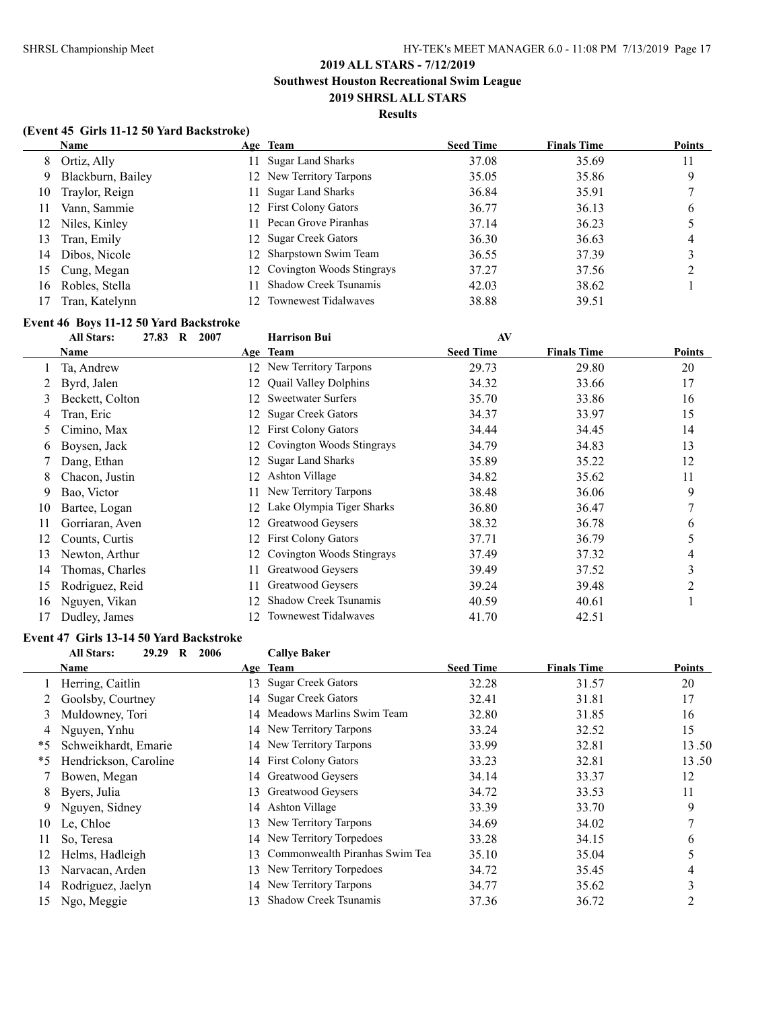#### **Results**

### **(Event 45 Girls 11-12 50 Yard Backstroke)**

|     | <b>Name</b>       |     | Age Team                     | <b>Seed Time</b> | <b>Finals Time</b> | <b>Points</b> |
|-----|-------------------|-----|------------------------------|------------------|--------------------|---------------|
|     | 8 Ortiz, Ally     |     | 11 Sugar Land Sharks         | 37.08            | 35.69              | 11            |
| 9   | Blackburn, Bailey |     | 12 New Territory Tarpons     | 35.05            | 35.86              | 9             |
| 10  | Traylor, Reign    | 11. | <b>Sugar Land Sharks</b>     | 36.84            | 35.91              |               |
| 11  | Vann, Sammie      |     | 12 First Colony Gators       | 36.77            | 36.13              | b             |
| 12  | Niles, Kinley     | 11. | Pecan Grove Piranhas         | 37.14            | 36.23              |               |
| 13  | Tran, Emily       |     | 12 Sugar Creek Gators        | 36.30            | 36.63              | 4             |
| 14  | Dibos, Nicole     |     | 12 Sharpstown Swim Team      | 36.55            | 37.39              |               |
| 15. | Cung, Megan       |     | 12 Covington Woods Stingrays | 37.27            | 37.56              |               |
| 16  | Robles, Stella    | 11. | <b>Shadow Creek Tsunamis</b> | 42.03            | 38.62              |               |
|     | Tran, Katelynn    |     | <b>Townewest Tidalwayes</b>  | 38.88            | 39.51              |               |

# **Event 46 Boys 11-12 50 Yard Backstroke**

|               | <b>All Stars:</b><br>27.83<br>$\mathbf{R}$<br>2007 |     | <b>Harrison Bui</b>          | AV               |                    |               |
|---------------|----------------------------------------------------|-----|------------------------------|------------------|--------------------|---------------|
|               | Name                                               |     | Age Team                     | <b>Seed Time</b> | <b>Finals Time</b> | <b>Points</b> |
|               | Ta, Andrew                                         | 12  | New Territory Tarpons        | 29.73            | 29.80              | 20            |
|               | Byrd, Jalen                                        | 12  | <b>Quail Valley Dolphins</b> | 34.32            | 33.66              | 17            |
| 3             | Beckett, Colton                                    | 12  | <b>Sweetwater Surfers</b>    | 35.70            | 33.86              | 16            |
| 4             | Tran, Eric                                         | 12  | <b>Sugar Creek Gators</b>    | 34.37            | 33.97              | 15            |
| $\mathcal{L}$ | Cimino, Max                                        | 12  | <b>First Colony Gators</b>   | 34.44            | 34.45              | 14            |
| 6             | Boysen, Jack                                       | 12  | Covington Woods Stingrays    | 34.79            | 34.83              | 13            |
|               | Dang, Ethan                                        | 12  | <b>Sugar Land Sharks</b>     | 35.89            | 35.22              | 12            |
| 8             | Chacon, Justin                                     | 12  | Ashton Village               | 34.82            | 35.62              | 11            |
| 9             | Bao, Victor                                        | 11  | New Territory Tarpons        | 38.48            | 36.06              | 9             |
| 10            | Bartee, Logan                                      | 12  | Lake Olympia Tiger Sharks    | 36.80            | 36.47              |               |
| 11            | Gorriaran, Aven                                    | 12  | Greatwood Geysers            | 38.32            | 36.78              | 6             |
| 12            | Counts, Curtis                                     | 12  | <b>First Colony Gators</b>   | 37.71            | 36.79              | 5             |
| 13            | Newton, Arthur                                     | 12  | Covington Woods Stingrays    | 37.49            | 37.32              | 4             |
| 14            | Thomas, Charles                                    | 11. | Greatwood Geysers            | 39.49            | 37.52              | 3             |
| 15            | Rodriguez, Reid                                    | 11  | Greatwood Geysers            | 39.24            | 39.48              |               |
| 16            | Nguyen, Vikan                                      |     | Shadow Creek Tsunamis        | 40.59            | 40.61              |               |
| 17            | Dudley, James                                      | 12  | <b>Townewest Tidalwaves</b>  | 41.70            | 42.51              |               |

# **Event 47 Girls 13-14 50 Yard Backstroke**<br> **All Stars:** 29.29 R 2006

|    | 29.29<br><b>All Stars:</b><br>$\bf{R}$<br>2006 |     | <b>Callye Baker</b>            |                  |                    |               |
|----|------------------------------------------------|-----|--------------------------------|------------------|--------------------|---------------|
|    | Name                                           |     | Age Team                       | <b>Seed Time</b> | <b>Finals Time</b> | <b>Points</b> |
|    | Herring, Caitlin                               | 13. | <b>Sugar Creek Gators</b>      | 32.28            | 31.57              | 20            |
|    | Goolsby, Courtney                              | 14  | <b>Sugar Creek Gators</b>      | 32.41            | 31.81              | 17            |
| 3  | Muldowney, Tori                                |     | 14 Meadows Marlins Swim Team   | 32.80            | 31.85              | 16            |
| 4  | Nguyen, Ynhu                                   |     | 14 New Territory Tarpons       | 33.24            | 32.52              | 15            |
| *5 | Schweikhardt, Emarie                           |     | 14 New Territory Tarpons       | 33.99            | 32.81              | 13.50         |
| *5 | Hendrickson, Caroline                          |     | 14 First Colony Gators         | 33.23            | 32.81              | 13.50         |
|    | Bowen, Megan                                   |     | 14 Greatwood Geysers           | 34.14            | 33.37              | 12            |
| 8  | Byers, Julia                                   |     | 13 Greatwood Geysers           | 34.72            | 33.53              | 11            |
| 9  | Nguyen, Sidney                                 | 14  | <b>Ashton Village</b>          | 33.39            | 33.70              | 9             |
| 10 | Le, Chloe                                      | 13. | New Territory Tarpons          | 34.69            | 34.02              |               |
| 11 | So, Teresa                                     | 14  | New Territory Torpedoes        | 33.28            | 34.15              | 6             |
| 12 | Helms, Hadleigh                                | 13. | Commonwealth Piranhas Swim Tea | 35.10            | 35.04              |               |
| 13 | Narvacan, Arden                                | 13  | New Territory Torpedoes        | 34.72            | 35.45              | 4             |
| 14 | Rodriguez, Jaelyn                              |     | 14 New Territory Tarpons       | 34.77            | 35.62              | 3             |
| 15 | Ngo, Meggie                                    | 13. | Shadow Creek Tsunamis          | 37.36            | 36.72              | 2             |
|    |                                                |     |                                |                  |                    |               |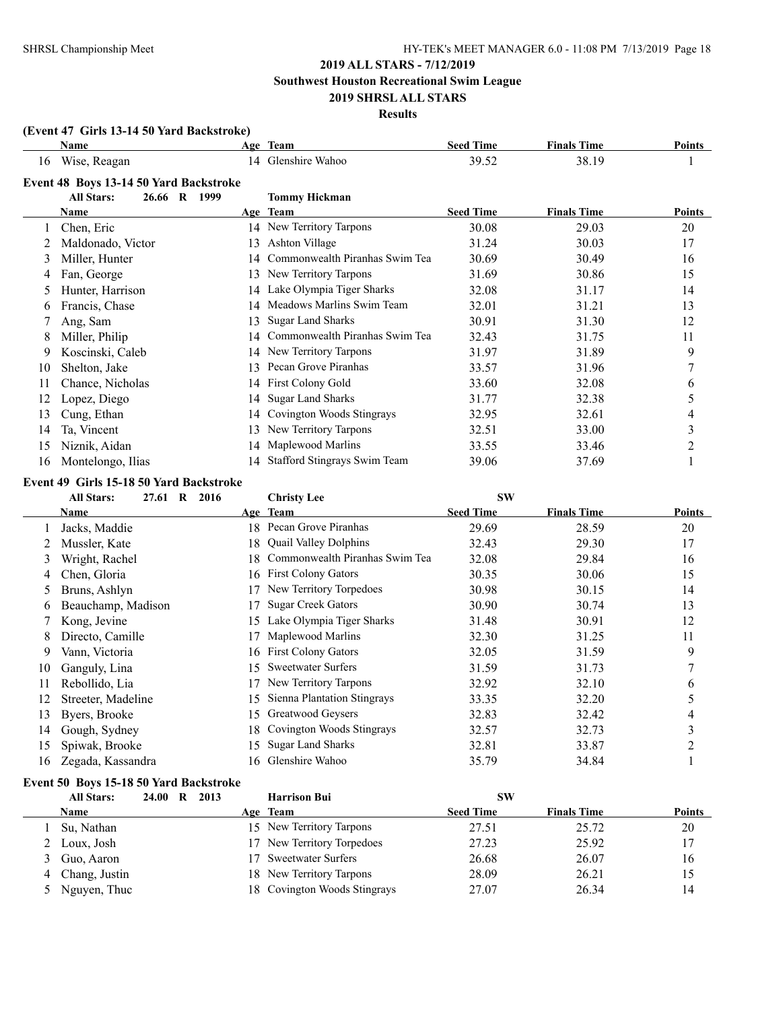**Southwest Houston Recreational Swim League**

### **2019 SHRSL ALL STARS Results**

# **(Event 47 Girls 13-14 50 Yard Backstroke)**

|    | Name                                   |    | Age Team                            | <b>Seed Time</b> | <b>Finals Time</b> | <b>Points</b> |
|----|----------------------------------------|----|-------------------------------------|------------------|--------------------|---------------|
| 16 | Wise, Reagan                           | 14 | Glenshire Wahoo                     | 39.52            | 38.19              |               |
|    | Event 48 Boys 13-14 50 Yard Backstroke |    |                                     |                  |                    |               |
|    | <b>All Stars:</b><br>26.66 R 1999      |    | <b>Tommy Hickman</b>                |                  |                    |               |
|    | Name                                   |    | Age Team                            | <b>Seed Time</b> | <b>Finals Time</b> | <b>Points</b> |
|    | Chen, Eric                             | 14 | New Territory Tarpons               | 30.08            | 29.03              | 20            |
|    | Maldonado, Victor                      | 13 | Ashton Village                      | 31.24            | 30.03              | 17            |
| 3  | Miller, Hunter                         | 14 | Commonwealth Piranhas Swim Tea      | 30.69            | 30.49              | 16            |
| 4  | Fan, George                            | 13 | New Territory Tarpons               | 31.69            | 30.86              | 15            |
| 5  | Hunter, Harrison                       | 14 | Lake Olympia Tiger Sharks           | 32.08            | 31.17              | 14            |
| 6  | Francis, Chase                         | 14 | Meadows Marlins Swim Team           | 32.01            | 31.21              | 13            |
|    | Ang, Sam                               | 13 | <b>Sugar Land Sharks</b>            | 30.91            | 31.30              | 12            |
| 8  | Miller, Philip                         | 14 | Commonwealth Piranhas Swim Tea      | 32.43            | 31.75              | 11            |
| 9  | Koscinski, Caleb                       | 14 | New Territory Tarpons               | 31.97            | 31.89              | 9             |
| 10 | Shelton, Jake                          | 13 | Pecan Grove Piranhas                | 33.57            | 31.96              | 7             |
| 11 | Chance, Nicholas                       | 14 | <b>First Colony Gold</b>            | 33.60            | 32.08              | 6             |
|    | Lopez, Diego                           | 14 | <b>Sugar Land Sharks</b>            | 31.77            | 32.38              | 5             |
| 13 | Cung, Ethan                            | 14 | Covington Woods Stingrays           | 32.95            | 32.61              | 4             |
| 14 | Ta, Vincent                            | 13 | New Territory Tarpons               | 32.51            | 33.00              | 3             |
| 15 | Niznik, Aidan                          | 14 | Maplewood Marlins                   | 33.55            | 33.46              | 2             |
| 16 | Montelongo, Ilias                      | 14 | <b>Stafford Stingrays Swim Team</b> | 39.06            | 37.69              |               |

### **Event 49 Girls 15-18 50 Yard Backstroke**

|    | <b>All Stars:</b><br>27.61<br>$\bf{R}$ | 2016 | <b>Christy Lee</b>             | <b>SW</b>        |                    |                |
|----|----------------------------------------|------|--------------------------------|------------------|--------------------|----------------|
|    | Name                                   |      | Age Team                       | <b>Seed Time</b> | <b>Finals Time</b> | Points         |
|    | Jacks, Maddie                          | 18.  | Pecan Grove Piranhas           | 29.69            | 28.59              | 20             |
|    | Mussler, Kate                          | 18   | <b>Quail Valley Dolphins</b>   | 32.43            | 29.30              | 17             |
| 3  | Wright, Rachel                         | 18   | Commonwealth Piranhas Swim Tea | 32.08            | 29.84              | 16             |
| 4  | Chen, Gloria                           | 16   | <b>First Colony Gators</b>     | 30.35            | 30.06              | 15             |
| 5. | Bruns, Ashlyn                          |      | New Territory Torpedoes        | 30.98            | 30.15              | 14             |
| 6  | Beauchamp, Madison                     |      | <b>Sugar Creek Gators</b>      | 30.90            | 30.74              | 13             |
|    | Kong, Jevine                           | 15   | Lake Olympia Tiger Sharks      | 31.48            | 30.91              | 12             |
| 8  | Directo, Camille                       |      | Maplewood Marlins              | 32.30            | 31.25              | 11             |
| 9  | Vann, Victoria                         | 16   | <b>First Colony Gators</b>     | 32.05            | 31.59              | 9              |
| 10 | Ganguly, Lina                          | 15   | <b>Sweetwater Surfers</b>      | 31.59            | 31.73              | 7              |
| 11 | Rebollido, Lia                         |      | New Territory Tarpons          | 32.92            | 32.10              | 6              |
| 12 | Streeter, Madeline                     | 15   | Sienna Plantation Stingrays    | 33.35            | 32.20              | 5              |
| 13 | Byers, Brooke                          | 15   | Greatwood Geysers              | 32.83            | 32.42              | 4              |
| 14 | Gough, Sydney                          | 18.  | Covington Woods Stingrays      | 32.57            | 32.73              | 3              |
| 15 | Spiwak, Brooke                         | 15   | <b>Sugar Land Sharks</b>       | 32.81            | 33.87              | $\overline{c}$ |
| 16 | Zegada, Kassandra                      | 16.  | Glenshire Wahoo                | 35.79            | 34.84              |                |

# **Event 50 Boys 15-18 50 Yard Backstroke**

|   | <b>All Stars:</b> | 24.00 R | 2013 | <b>Harrison Bui</b>          | SW               |                    |               |
|---|-------------------|---------|------|------------------------------|------------------|--------------------|---------------|
|   | Name              |         |      | Age Team                     | <b>Seed Time</b> | <b>Finals Time</b> | <b>Points</b> |
|   | Su, Nathan        |         |      | 15 New Territory Tarpons     | 27.51            | 25.72              | 20            |
|   | 2 Loux, Josh      |         |      | 17 New Territory Torpedoes   | 27.23            | 25.92              | 17            |
|   | 3 Guo, Aaron      |         |      | 17 Sweetwater Surfers        | 26.68            | 26.07              | 16            |
| 4 | Chang, Justin     |         |      | 18 New Territory Tarpons     | 28.09            | 26.21              | 15            |
|   | Nguyen, Thuc      |         |      | 18 Covington Woods Stingrays | 27.07            | 26.34              | 14            |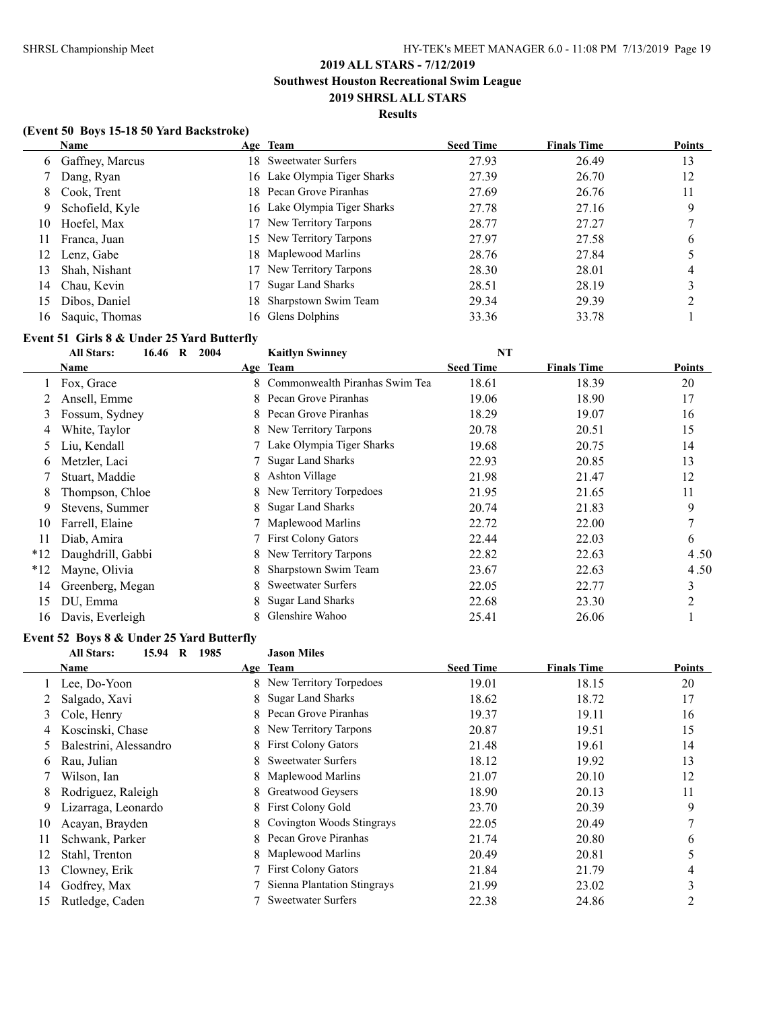### **Results**

### **(Event 50 Boys 15-18 50 Yard Backstroke)**

|    | <b>Name</b>       |     | Age Team                     | <b>Seed Time</b> | <b>Finals Time</b> | <b>Points</b> |
|----|-------------------|-----|------------------------------|------------------|--------------------|---------------|
|    | 6 Gaffney, Marcus |     | 18 Sweetwater Surfers        | 27.93            | 26.49              | 13            |
|    | Dang, Ryan        |     | 16 Lake Olympia Tiger Sharks | 27.39            | 26.70              | 12            |
| 8  | Cook, Trent       |     | 18 Pecan Grove Piranhas      | 27.69            | 26.76              | 11            |
| 9  | Schofield, Kyle   |     | 16 Lake Olympia Tiger Sharks | 27.78            | 27.16              | 9             |
| 10 | Hoefel, Max       |     | New Territory Tarpons        | 28.77            | 27.27              |               |
| 11 | Franca, Juan      |     | 15 New Territory Tarpons     | 27.97            | 27.58              | 6             |
| 12 | Lenz, Gabe        |     | 18 Maplewood Marlins         | 28.76            | 27.84              |               |
| 13 | Shah, Nishant     | 17  | New Territory Tarpons        | 28.30            | 28.01              | 4             |
| 14 | Chau, Kevin       |     | <b>Sugar Land Sharks</b>     | 28.51            | 28.19              |               |
| 15 | Dibos, Daniel     | 18. | Sharpstown Swim Team         | 29.34            | 29.39              |               |
| 16 | Saquic, Thomas    |     | 16 Glens Dolphins            | 33.36            | 33.78              |               |

### **Event 51 Girls 8 & Under 25 Yard Butterfly**

|       | <b>All Stars:</b><br>16.46 R<br>2004 |    | <b>Kaitlyn Swinney</b>         | <b>NT</b>        |                    |                |
|-------|--------------------------------------|----|--------------------------------|------------------|--------------------|----------------|
|       | Name                                 |    | Age Team                       | <b>Seed Time</b> | <b>Finals Time</b> | Points         |
|       | Fox, Grace                           |    | Commonwealth Piranhas Swim Tea | 18.61            | 18.39              | 20             |
|       | Ansell, Emme                         | 8  | Pecan Grove Piranhas           | 19.06            | 18.90              | 17             |
| 3     | Fossum, Sydney                       |    | 8 Pecan Grove Piranhas         | 18.29            | 19.07              | 16             |
| 4     | White, Taylor                        |    | 8 New Territory Tarpons        | 20.78            | 20.51              | 15             |
| 5     | Liu, Kendall                         |    | Lake Olympia Tiger Sharks      | 19.68            | 20.75              | 14             |
| 6     | Metzler, Laci                        |    | <b>Sugar Land Sharks</b>       | 22.93            | 20.85              | 13             |
|       | Stuart, Maddie                       | 8  | Ashton Village                 | 21.98            | 21.47              | 12             |
| 8     | Thompson, Chloe                      | 8. | New Territory Torpedoes        | 21.95            | 21.65              | 11             |
| 9     | Stevens, Summer                      | 8. | <b>Sugar Land Sharks</b>       | 20.74            | 21.83              | 9              |
| 10    | Farrell, Elaine                      |    | Maplewood Marlins              | 22.72            | 22.00              | $\mathcal{I}$  |
| 11    | Diab, Amira                          |    | <b>First Colony Gators</b>     | 22.44            | 22.03              | 6              |
| $*12$ | Daughdrill, Gabbi                    | 8  | New Territory Tarpons          | 22.82            | 22.63              | 4.50           |
| $*12$ | Mayne, Olivia                        | 8. | Sharpstown Swim Team           | 23.67            | 22.63              | 4.50           |
| 14    | Greenberg, Megan                     | 8. | <b>Sweetwater Surfers</b>      | 22.05            | 22.77              | 3              |
| 15    | DU, Emma                             | 8. | <b>Sugar Land Sharks</b>       | 22.68            | 23.30              | $\mathfrak{D}$ |
| 16    | Davis, Everleigh                     |    | Glenshire Wahoo                | 25.41            | 26.06              |                |
|       |                                      |    |                                |                  |                    |                |

# **Event 52 Boys 8 & Under 25 Yard Butterfly**<br>All Stars: 15.94 B 1985

|    | 1985<br><b>All Stars:</b><br>15.94<br>R |    | <b>Jason Miles</b>          |                  |                    |        |
|----|-----------------------------------------|----|-----------------------------|------------------|--------------------|--------|
|    | Name                                    |    | Age Team                    | <b>Seed Time</b> | <b>Finals Time</b> | Points |
|    | 1 Lee, Do-Yoon                          |    | New Territory Torpedoes     | 19.01            | 18.15              | 20     |
|    | Salgado, Xavi                           | 8  | <b>Sugar Land Sharks</b>    | 18.62            | 18.72              | 17     |
| 3  | Cole, Henry                             | 8  | Pecan Grove Piranhas        | 19.37            | 19.11              | 16     |
| 4  | Koscinski, Chase                        | 8. | New Territory Tarpons       | 20.87            | 19.51              | 15     |
| 5  | Balestrini, Alessandro                  | 8. | <b>First Colony Gators</b>  | 21.48            | 19.61              | 14     |
| 6  | Rau, Julian                             | 8  | <b>Sweetwater Surfers</b>   | 18.12            | 19.92              | 13     |
|    | Wilson, Ian                             | 8  | Maplewood Marlins           | 21.07            | 20.10              | 12     |
| 8  | Rodriguez, Raleigh                      | 8  | Greatwood Geysers           | 18.90            | 20.13              | 11     |
| 9  | Lizarraga, Leonardo                     | 8  | First Colony Gold           | 23.70            | 20.39              | 9      |
| 10 | Acayan, Brayden                         | 8. | Covington Woods Stingrays   | 22.05            | 20.49              |        |
| 11 | Schwank, Parker                         | 8  | Pecan Grove Piranhas        | 21.74            | 20.80              | 6      |
| 12 | Stahl, Trenton                          | 8  | Maplewood Marlins           | 20.49            | 20.81              |        |
| 13 | Clowney, Erik                           |    | <b>First Colony Gators</b>  | 21.84            | 21.79              | 4      |
| 14 | Godfrey, Max                            |    | Sienna Plantation Stingrays | 21.99            | 23.02              | 3      |
| 15 | Rutledge, Caden                         |    | <b>Sweetwater Surfers</b>   | 22.38            | 24.86              | 2      |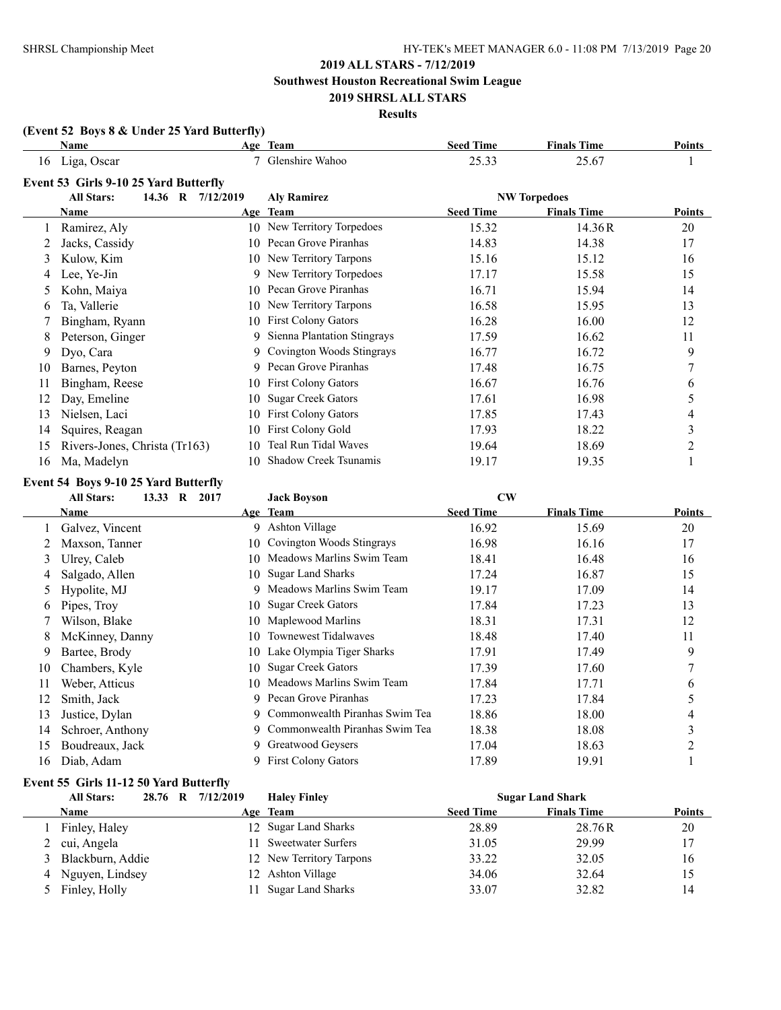**Southwest Houston Recreational Swim League**

### **2019 SHRSL ALL STARS Results**

# **(Event 52 Boys 8 & Under 25 Yard Butterfly)**

|    | Name                                              |    | Age Team                      | <b>Seed Time</b>       | <b>Finals Time</b>       | <b>Points</b>                         |
|----|---------------------------------------------------|----|-------------------------------|------------------------|--------------------------|---------------------------------------|
| 16 | Liga, Oscar                                       |    | 7 Glenshire Wahoo             | 25.33                  | 25.67                    |                                       |
|    | Event 53 Girls 9-10 25 Yard Butterfly             |    |                               |                        |                          |                                       |
|    | <b>All Stars:</b><br>14.36 R 7/12/2019            |    | <b>Aly Ramirez</b>            |                        | <b>NW Torpedoes</b>      |                                       |
|    | Name                                              |    | Age Team                      | <b>Seed Time</b>       | <b>Finals Time</b>       | <b>Points</b>                         |
|    | Ramirez, Aly                                      |    | 10 New Territory Torpedoes    | 15.32                  | 14.36R                   | 20                                    |
|    | Jacks, Cassidy                                    | 10 | Pecan Grove Piranhas          | 14.83                  | 14.38                    | 17                                    |
| 3  | Kulow, Kim                                        | 10 | New Territory Tarpons         | 15.16                  | 15.12                    | 16                                    |
| 4  | Lee, Ye-Jin                                       |    | 9 New Territory Torpedoes     | 17.17                  | 15.58                    | 15                                    |
| 5  | Kohn, Maiya                                       | 10 | Pecan Grove Piranhas          | 16.71                  | 15.94                    | 14                                    |
| 6  | Ta, Vallerie                                      | 10 | New Territory Tarpons         | 16.58                  | 15.95                    | 13                                    |
|    | Bingham, Ryann                                    | 10 | <b>First Colony Gators</b>    | 16.28                  | 16.00                    | 12                                    |
| 8  | Peterson, Ginger                                  | 9  | Sienna Plantation Stingrays   | 17.59                  | 16.62                    | 11                                    |
| 9  | Dyo, Cara                                         | 9. | Covington Woods Stingrays     | 16.77                  | 16.72                    | 9                                     |
| 10 | Barnes, Peyton                                    | 9  | Pecan Grove Piranhas          | 17.48                  | 16.75                    | 7                                     |
| 11 | Bingham, Reese                                    | 10 | <b>First Colony Gators</b>    | 16.67                  | 16.76                    | 6                                     |
|    | Day, Emeline                                      | 10 | <b>Sugar Creek Gators</b>     | 17.61                  | 16.98                    | 5                                     |
| 13 | Nielsen, Laci                                     | 10 | <b>First Colony Gators</b>    | 17.85                  | 17.43                    | 4                                     |
| 14 | Squires, Reagan                                   | 10 | <b>First Colony Gold</b>      | 17.93                  | 18.22                    | 3                                     |
| 15 | Rivers-Jones, Christa (Tr163)                     | 10 | Teal Run Tidal Waves          | 19.64                  | 18.69                    | 2                                     |
| 16 | Ma, Madelyn                                       | 10 | Shadow Creek Tsunamis         | 19.17                  | 19.35                    |                                       |
|    | Event 54 Boys 9-10 25 Yard Butterfly              |    |                               |                        |                          |                                       |
|    | <b>All Stars:</b><br>13.33<br>$\mathbf R$<br>2017 |    | <b>Jack Boyson</b>            | $\mathbf{C}\mathbf{W}$ |                          |                                       |
|    | $N = 1$                                           |    | $\Lambda_{\text{max}}$ Thomas | $2$ aad Times          | $E_{\text{model}}$ Times | $D_{\alpha}$ : $\mathcal{L}_{\alpha}$ |

|    |                  |     | $0$ <i>uch Do</i> <sub>190</sub> <i>u</i> |                  |                    |        |
|----|------------------|-----|-------------------------------------------|------------------|--------------------|--------|
|    | <b>Name</b>      |     | Age Team                                  | <b>Seed Time</b> | <b>Finals Time</b> | Points |
|    | Galvez, Vincent  |     | 9 Ashton Village                          | 16.92            | 15.69              | 20     |
|    | Maxson, Tanner   |     | 10 Covington Woods Stingrays              | 16.98            | 16.16              | 17     |
| 3  | Ulrey, Caleb     | 10. | Meadows Marlins Swim Team                 | 18.41            | 16.48              | 16     |
| 4  | Salgado, Allen   |     | 10 Sugar Land Sharks                      | 17.24            | 16.87              | 15     |
|    | Hypolite, MJ     |     | 9 Meadows Marlins Swim Team               | 19.17            | 17.09              | 14     |
| 6  | Pipes, Troy      |     | 10 Sugar Creek Gators                     | 17.84            | 17.23              | 13     |
|    | Wilson, Blake    |     | 10 Maplewood Marlins                      | 18.31            | 17.31              | 12     |
| 8  | McKinney, Danny  | 10. | Townewest Tidalwaves                      | 18.48            | 17.40              | 11     |
| 9  | Bartee, Brody    |     | 10 Lake Olympia Tiger Sharks              | 17.91            | 17.49              | 9      |
| 10 | Chambers, Kyle   | 10. | <b>Sugar Creek Gators</b>                 | 17.39            | 17.60              |        |
| 11 | Weber, Atticus   |     | 10 Meadows Marlins Swim Team              | 17.84            | 17.71              | 6      |
| 12 | Smith, Jack      |     | 9 Pecan Grove Piranhas                    | 17.23            | 17.84              | 5      |
| 13 | Justice, Dylan   |     | 9 Commonwealth Piranhas Swim Tea          | 18.86            | 18.00              | 4      |
| 14 | Schroer, Anthony |     | 9 Commonwealth Piranhas Swim Tea          | 18.38            | 18.08              | 3      |
| 15 | Boudreaux, Jack  |     | 9 Greatwood Geysers                       | 17.04            | 18.63              | າ      |
| 16 | Diab, Adam       |     | 9 First Colony Gators                     | 17.89            | 19.91              |        |
|    |                  |     |                                           |                  |                    |        |

# **Event 55 Girls 11-12 50 Yard Butterfly**

|   | <b>All Stars:</b>  | 28.76 R 7/12/2019 | <b>Haley Finley</b>       |                  | <b>Sugar Land Shark</b> |               |
|---|--------------------|-------------------|---------------------------|------------------|-------------------------|---------------|
|   | <b>Name</b>        |                   | Age Team                  | <b>Seed Time</b> | <b>Finals Time</b>      | <b>Points</b> |
|   | Finley, Haley      |                   | 12 Sugar Land Sharks      | 28.89            | 28.76R                  | 20            |
|   | 2 cui, Angela      |                   | <b>Sweetwater Surfers</b> | 31.05            | 29.99                   | 17            |
|   | 3 Blackburn, Addie |                   | 12 New Territory Tarpons  | 33.22            | 32.05                   | 16            |
| 4 | Nguyen, Lindsey    |                   | 12 Ashton Village         | 34.06            | 32.64                   | 15            |
|   | 5 Finley, Holly    |                   | <b>Sugar Land Sharks</b>  | 33.07            | 32.82                   | 14            |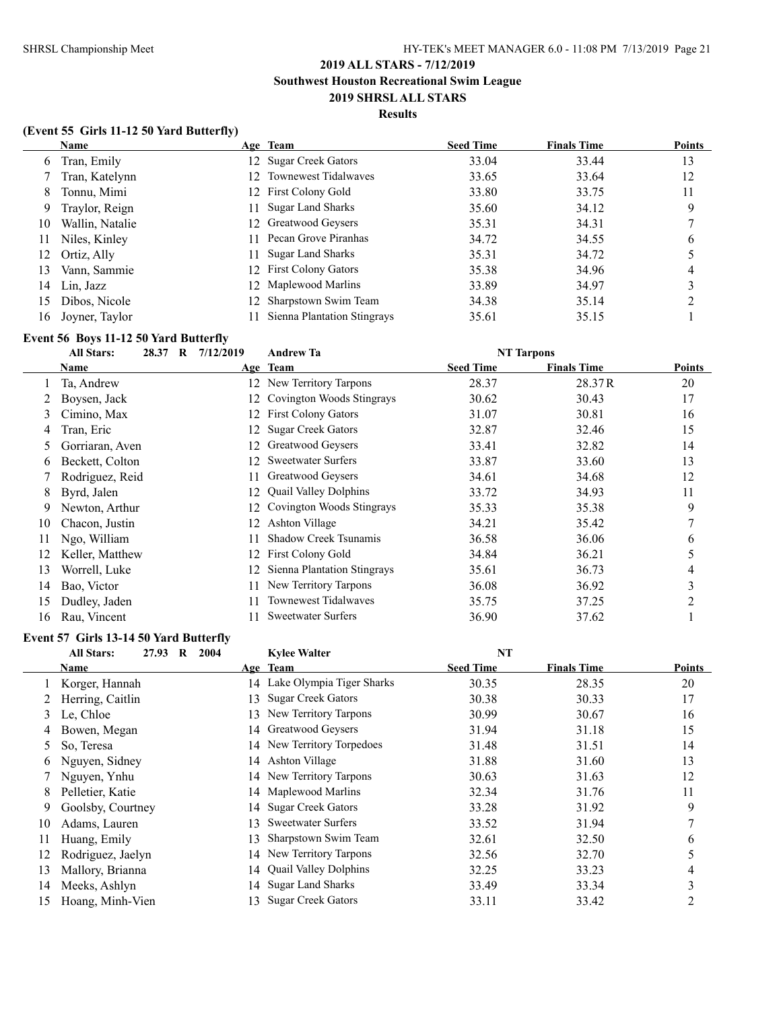# **Results**

### **(Event 55 Girls 11-12 50 Yard Butterfly)**

|    | Name            |     | Age Team                    | <b>Seed Time</b> | <b>Finals Time</b> | <b>Points</b> |
|----|-----------------|-----|-----------------------------|------------------|--------------------|---------------|
| 6  | Tran, Emily     |     | 12 Sugar Creek Gators       | 33.04            | 33.44              | 13            |
|    | Tran, Katelynn  |     | 12 Townewest Tidalwaves     | 33.65            | 33.64              | 12            |
| 8  | Tonnu, Mimi     |     | 12 First Colony Gold        | 33.80            | 33.75              | 11            |
| 9  | Traylor, Reign  | 11. | <b>Sugar Land Sharks</b>    | 35.60            | 34.12              | 9             |
| 10 | Wallin, Natalie |     | 12 Greatwood Geysers        | 35.31            | 34.31              |               |
| 11 | Niles, Kinley   | 11  | Pecan Grove Piranhas        | 34.72            | 34.55              | 6             |
| 12 | Ortiz, Ally     |     | 11 Sugar Land Sharks        | 35.31            | 34.72              |               |
| 13 | Vann, Sammie    |     | 12 First Colony Gators      | 35.38            | 34.96              | 4             |
| 14 | Lin, Jazz       |     | 12 Maplewood Marlins        | 33.89            | 34.97              |               |
| 15 | Dibos, Nicole   | 12. | Sharpstown Swim Team        | 34.38            | 35.14              |               |
| 16 | Joyner, Taylor  |     | Sienna Plantation Stingrays | 35.61            | 35.15              |               |

# **Event 56 Boys 11-12 50 Yard Butterfly**

|    | <b>All Stars:</b><br>28.37 | $\mathbf{R}$<br>7/12/2019 | <b>Andrew Ta</b>             |                  | <b>NT Tarpons</b>  |        |
|----|----------------------------|---------------------------|------------------------------|------------------|--------------------|--------|
|    | Name                       |                           | Age Team                     | <b>Seed Time</b> | <b>Finals Time</b> | Points |
|    | Ta, Andrew                 | 12                        | New Territory Tarpons        | 28.37            | 28.37R             | 20     |
|    | Boysen, Jack               |                           | Covington Woods Stingrays    | 30.62            | 30.43              | 17     |
| 3  | Cimino, Max                | 12                        | <b>First Colony Gators</b>   | 31.07            | 30.81              | 16     |
| 4  | Tran, Eric                 |                           | <b>Sugar Creek Gators</b>    | 32.87            | 32.46              | 15     |
|    | Gorriaran, Aven            | 12                        | Greatwood Geysers            | 33.41            | 32.82              | 14     |
| 6  | Beckett, Colton            |                           | <b>Sweetwater Surfers</b>    | 33.87            | 33.60              | 13     |
|    | Rodriguez, Reid            |                           | Greatwood Geysers            | 34.61            | 34.68              | 12     |
| 8  | Byrd, Jalen                |                           | <b>Quail Valley Dolphins</b> | 33.72            | 34.93              | 11     |
| 9  | Newton, Arthur             |                           | Covington Woods Stingrays    | 35.33            | 35.38              | 9      |
| 10 | Chacon, Justin             | 12                        | Ashton Village               | 34.21            | 35.42              |        |
| 11 | Ngo, William               |                           | <b>Shadow Creek Tsunamis</b> | 36.58            | 36.06              | 6      |
| 12 | Keller, Matthew            |                           | <b>First Colony Gold</b>     | 34.84            | 36.21              |        |
| 13 | Worrell, Luke              |                           | Sienna Plantation Stingrays  | 35.61            | 36.73              | 4      |
| 14 | Bao, Victor                |                           | New Territory Tarpons        | 36.08            | 36.92              | 3      |
| 15 | Dudley, Jaden              |                           | <b>Townewest Tidalwaves</b>  | 35.75            | 37.25              | າ      |
| 16 | Rau, Vincent               |                           | <b>Sweetwater Surfers</b>    | 36.90            | 37.62              |        |

### **Event 57 Girls 13-14 50 Yard Butterfly**

|    | <b>All Stars:</b><br>27.93<br>$\bf{R}$ | 2004 | <b>Kylee Walter</b>          | <b>NT</b>        |                    |               |
|----|----------------------------------------|------|------------------------------|------------------|--------------------|---------------|
|    | Name                                   |      | Age Team                     | <b>Seed Time</b> | <b>Finals Time</b> | <b>Points</b> |
|    | Korger, Hannah                         |      | 14 Lake Olympia Tiger Sharks | 30.35            | 28.35              | 20            |
|    | Herring, Caitlin                       | 13.  | <b>Sugar Creek Gators</b>    | 30.38            | 30.33              | 17            |
| 3  | Le, Chloe                              | 13.  | New Territory Tarpons        | 30.99            | 30.67              | 16            |
| 4  | Bowen, Megan                           |      | 14 Greatwood Geysers         | 31.94            | 31.18              | 15            |
| 5. | So, Teresa                             |      | 14 New Territory Torpedoes   | 31.48            | 31.51              | 14            |
| 6  | Nguyen, Sidney                         | 14   | Ashton Village               | 31.88            | 31.60              | 13            |
|    | Nguyen, Ynhu                           |      | 14 New Territory Tarpons     | 30.63            | 31.63              | 12            |
| 8  | Pelletier, Katie                       |      | 14 Maplewood Marlins         | 32.34            | 31.76              | 11            |
| 9  | Goolsby, Courtney                      |      | 14 Sugar Creek Gators        | 33.28            | 31.92              | 9             |
| 10 | Adams, Lauren                          | 13.  | <b>Sweetwater Surfers</b>    | 33.52            | 31.94              |               |
| 11 | Huang, Emily                           | 13.  | Sharpstown Swim Team         | 32.61            | 32.50              | 6             |
| 12 | Rodriguez, Jaelyn                      |      | 14 New Territory Tarpons     | 32.56            | 32.70              |               |
| 13 | Mallory, Brianna                       |      | 14 Quail Valley Dolphins     | 32.25            | 33.23              | 4             |
| 14 | Meeks, Ashlyn                          | 14   | <b>Sugar Land Sharks</b>     | 33.49            | 33.34              | 3             |
| 15 | Hoang, Minh-Vien                       | 13.  | <b>Sugar Creek Gators</b>    | 33.11            | 33.42              |               |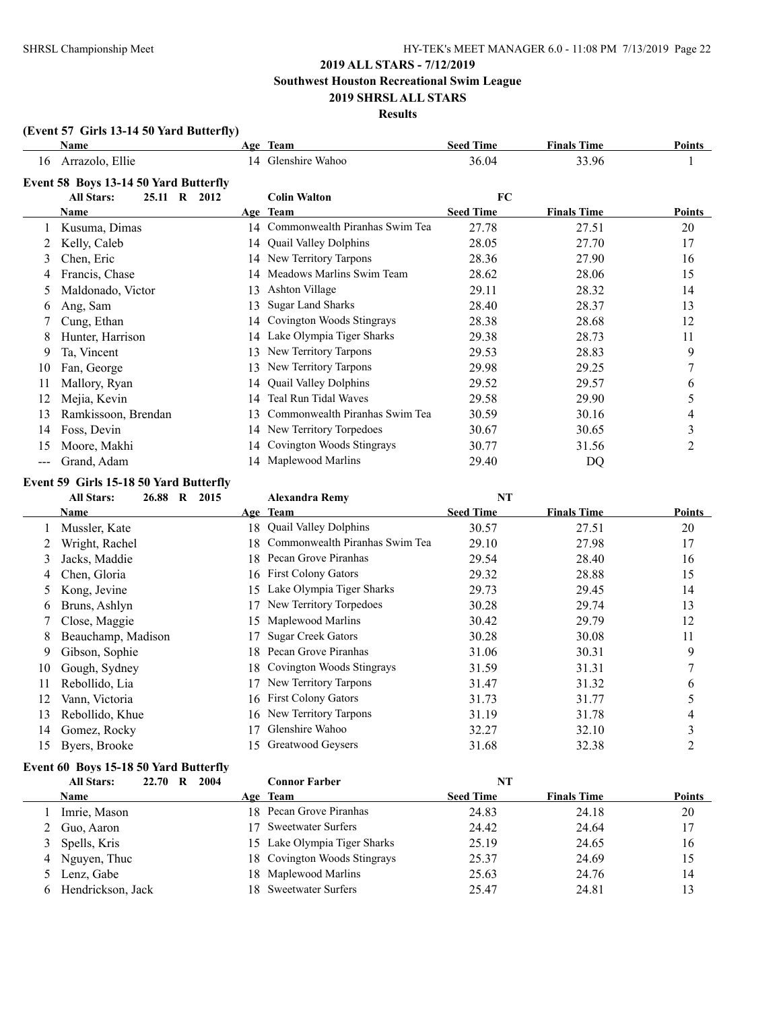**Southwest Houston Recreational Swim League**

### **2019 SHRSL ALL STARS Results**

### **(Event 57 Girls 13-14 50 Yard Butterfly)**

|       | Name                                  |    | Age Team                       | <b>Seed Time</b> | <b>Finals Time</b> | Points         |
|-------|---------------------------------------|----|--------------------------------|------------------|--------------------|----------------|
| 16    | Arrazolo, Ellie                       |    | 14 Glenshire Wahoo             | 36.04            | 33.96              |                |
|       | Event 58 Boys 13-14 50 Yard Butterfly |    |                                |                  |                    |                |
|       | <b>All Stars:</b><br>25.11 R 2012     |    | <b>Colin Walton</b>            | FC               |                    |                |
|       | <b>Name</b>                           |    | Age Team                       | <b>Seed Time</b> | <b>Finals Time</b> | Points         |
|       | Kusuma, Dimas                         | 14 | Commonwealth Piranhas Swim Tea | 27.78            | 27.51              | 20             |
|       | Kelly, Caleb                          | 14 | <b>Quail Valley Dolphins</b>   | 28.05            | 27.70              | 17             |
| 3     | Chen, Eric                            | 14 | New Territory Tarpons          | 28.36            | 27.90              | 16             |
| 4     | Francis, Chase                        | 14 | Meadows Marlins Swim Team      | 28.62            | 28.06              | 15             |
| 5.    | Maldonado, Victor                     | 13 | Ashton Village                 | 29.11            | 28.32              | 14             |
| 6     | Ang, Sam                              | 13 | <b>Sugar Land Sharks</b>       | 28.40            | 28.37              | 13             |
|       | Cung, Ethan                           | 14 | Covington Woods Stingrays      | 28.38            | 28.68              | 12             |
| 8     | Hunter, Harrison                      | 14 | Lake Olympia Tiger Sharks      | 29.38            | 28.73              | 11             |
| 9     | Ta, Vincent                           | 13 | New Territory Tarpons          | 29.53            | 28.83              | 9              |
| 10    | Fan, George                           | 13 | New Territory Tarpons          | 29.98            | 29.25              |                |
| 11    | Mallory, Ryan                         | 14 | <b>Quail Valley Dolphins</b>   | 29.52            | 29.57              | 6              |
| 12    | Mejia, Kevin                          | 14 | Teal Run Tidal Waves           | 29.58            | 29.90              | 5              |
| 13    | Ramkissoon, Brendan                   | 13 | Commonwealth Piranhas Swim Tea | 30.59            | 30.16              | 4              |
| 14    | Foss, Devin                           | 14 | New Territory Torpedoes        | 30.67            | 30.65              | 3              |
| 15    | Moore, Makhi                          | 14 | Covington Woods Stingrays      | 30.77            | 31.56              | $\overline{2}$ |
| $---$ | Grand, Adam                           | 14 | Maplewood Marlins              | 29.40            | DQ                 |                |

### **Event 59 Girls 15-18 50 Yard Butterfly**

|    | 26.88<br><b>All Stars:</b><br>$\bf{R}$<br>2015 | <b>Alexandra Remy</b>                 | <b>NT</b>        |                    |        |
|----|------------------------------------------------|---------------------------------------|------------------|--------------------|--------|
|    | Name                                           | Age Team                              | <b>Seed Time</b> | <b>Finals Time</b> | Points |
|    | Mussler, Kate                                  | 18 Quail Valley Dolphins              | 30.57            | 27.51              | 20     |
|    | Wright, Rachel                                 | Commonwealth Piranhas Swim Tea<br>18. | 29.10            | 27.98              | 17     |
| 3  | Jacks, Maddie                                  | 18 Pecan Grove Piranhas               | 29.54            | 28.40              | 16     |
| 4  | Chen, Gloria                                   | 16 First Colony Gators                | 29.32            | 28.88              | 15     |
| 5. | Kong, Jevine                                   | Lake Olympia Tiger Sharks<br>15       | 29.73            | 29.45              | 14     |
| 6  | Bruns, Ashlyn                                  | New Territory Torpedoes               | 30.28            | 29.74              | 13     |
|    | Close, Maggie                                  | 15 Maplewood Marlins                  | 30.42            | 29.79              | 12     |
| 8  | Beauchamp, Madison                             | <b>Sugar Creek Gators</b>             | 30.28            | 30.08              | 11     |
| 9  | Gibson, Sophie                                 | Pecan Grove Piranhas<br>18.           | 31.06            | 30.31              | 9      |
| 10 | Gough, Sydney                                  | 18 Covington Woods Stingrays          | 31.59            | 31.31              | 7      |
| 11 | Rebollido, Lia                                 | New Territory Tarpons                 | 31.47            | 31.32              | 6      |
| 12 | Vann, Victoria                                 | 16 First Colony Gators                | 31.73            | 31.77              | 5      |
| 13 | Rebollido, Khue                                | 16 New Territory Tarpons              | 31.19            | 31.78              | 4      |
| 14 | Gomez, Rocky                                   | Glenshire Wahoo                       | 32.27            | 32.10              | 3      |
| 15 | Byers, Brooke                                  | Greatwood Geysers<br>15               | 31.68            | 32.38              | 2      |
|    |                                                |                                       |                  |                    |        |

### **Event 60 Boys 15-18 50 Yard Butterfly**

| <b>All Stars:</b> | 22.70 | R | 2004 |    | <b>Connor Farber</b>         | NT               |                    |               |
|-------------------|-------|---|------|----|------------------------------|------------------|--------------------|---------------|
| <b>Name</b>       |       |   |      |    | Age Team                     | <b>Seed Time</b> | <b>Finals Time</b> | <b>Points</b> |
| Imrie, Mason      |       |   |      |    | 18 Pecan Grove Piranhas      | 24.83            | 24.18              | 20            |
| Guo, Aaron        |       |   |      | 17 | <b>Sweetwater Surfers</b>    | 24.42            | 24.64              | 17            |
| 3 Spells, Kris    |       |   |      |    | 15 Lake Olympia Tiger Sharks | 25.19            | 24.65              | 16            |
| 4 Nguyen, Thuc    |       |   |      |    | 18 Covington Woods Stingrays | 25.37            | 24.69              | 15            |
| 5 Lenz, Gabe      |       |   |      |    | 18 Maplewood Marlins         | 25.63            | 24.76              | 14            |
| Hendrickson, Jack |       |   |      |    | 18 Sweetwater Surfers        | 25.47            | 24.81              | 13            |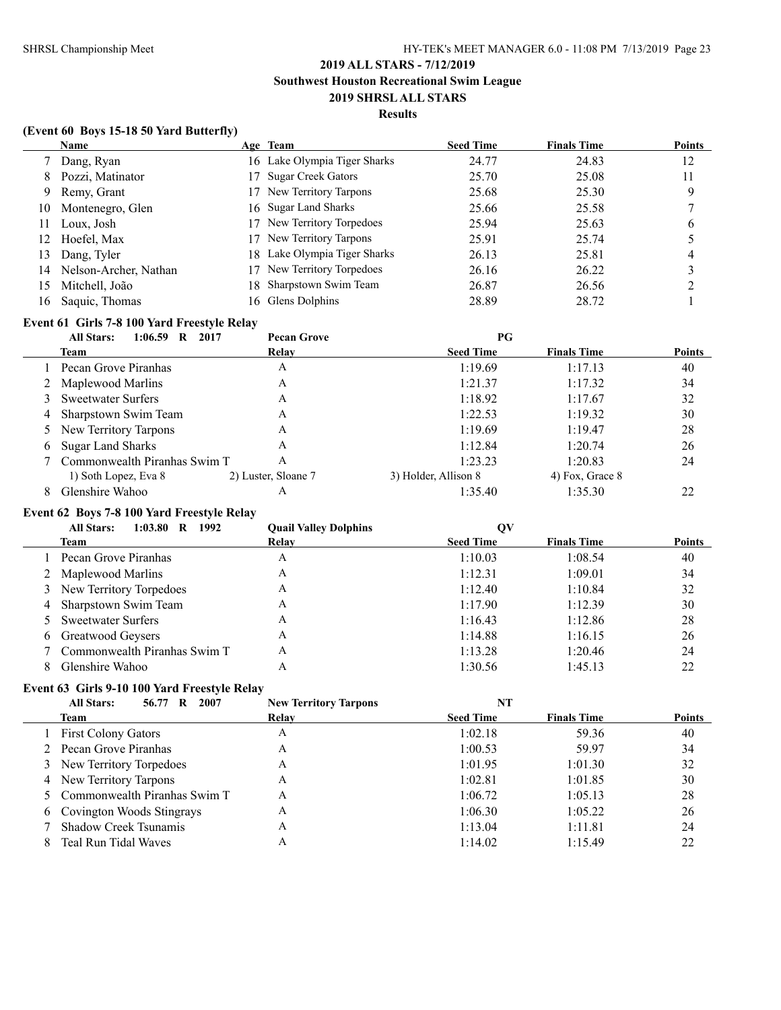### **Results**

### **(Event 60 Boys 15-18 50 Yard Butterfly)**

|     | Name                  | Age Team                     | <b>Seed Time</b> | <b>Finals Time</b> | <b>Points</b> |
|-----|-----------------------|------------------------------|------------------|--------------------|---------------|
|     | Dang, Ryan            | 16 Lake Olympia Tiger Sharks | 24.77            | 24.83              | 12            |
| 8   | Pozzi, Matinator      | 17 Sugar Creek Gators        | 25.70            | 25.08              | 11            |
| 9   | Remy, Grant           | 17 New Territory Tarpons     | 25.68            | 25.30              | 9             |
| 10  | Montenegro, Glen      | 16 Sugar Land Sharks         | 25.66            | 25.58              |               |
| 11  | Loux, Josh            | 17 New Territory Torpedoes   | 25.94            | 25.63              | b             |
| 12. | Hoefel, Max           | 17 New Territory Tarpons     | 25.91            | 25.74              |               |
| 13  | Dang, Tyler           | 18 Lake Olympia Tiger Sharks | 26.13            | 25.81              |               |
| 14  | Nelson-Archer, Nathan | 17 New Territory Torpedoes   | 26.16            | 26.22              |               |
| 15  | Mitchell, João        | 18 Sharpstown Swim Team      | 26.87            | 26.56              |               |
| 16  | Saquic, Thomas        | 16 Glens Dolphins            | 28.89            | 28.72              |               |

# **Event 61 Girls 7-8 100 Yard Freestyle Relay**

|   | <b>All Stars:</b><br>1:06.59<br>2017<br>R | <b>Pecan Grove</b>  | PG                   |                    |               |
|---|-------------------------------------------|---------------------|----------------------|--------------------|---------------|
|   | Team                                      | Relay               | <b>Seed Time</b>     | <b>Finals Time</b> | <b>Points</b> |
|   | Pecan Grove Piranhas                      | А                   | 1:19.69              | 1:17.13            | 40            |
|   | 2 Maplewood Marlins                       | А                   | 1:21.37              | 1:17.32            | 34            |
|   | 3 Sweetwater Surfers                      | А                   | 1:18.92              | 1:17.67            | 32            |
| 4 | Sharpstown Swim Team                      | А                   | 1:22.53              | 1:19.32            | 30            |
|   | 5 New Territory Tarpons                   | Α                   | 1:19.69              | 1:19.47            | 28            |
| 6 | <b>Sugar Land Sharks</b>                  | А                   | 1:12.84              | 1:20.74            | 26            |
|   | Commonwealth Piranhas Swim T              | Α                   | 1:23.23              | 1:20.83            | 24            |
|   | 1) Soth Lopez, Eva 8                      | 2) Luster, Sloane 7 | 3) Holder, Allison 8 | 4) Fox, Grace 8    |               |
| 8 | Glenshire Wahoo                           | А                   | 1:35.40              | 1:35.30            | 22            |

# **Event 62 Boys 7-8 100 Yard Freestyle Relay**

| 1992<br><b>All Stars:</b><br>1:03.80<br>R | <b>Quail Valley Dolphins</b> | QV               |                    |               |
|-------------------------------------------|------------------------------|------------------|--------------------|---------------|
| Team                                      | Relay                        | <b>Seed Time</b> | <b>Finals Time</b> | <b>Points</b> |
| Pecan Grove Piranhas                      | A                            | 1:10.03          | 1:08.54            | 40            |
| 2 Maplewood Marlins                       | Α                            | 1:12.31          | 1:09.01            | 34            |
| 3 New Territory Torpedoes                 | Α                            | 1:12.40          | 1:10.84            | 32            |
| 4 Sharpstown Swim Team                    | Α                            | 1:17.90          | 1:12.39            | 30            |
| 5 Sweetwater Surfers                      | A                            | 1:16.43          | 1:12.86            | 28            |
| 6 Greatwood Geysers                       | Α                            | 1:14.88          | 1:16.15            | 26            |
| 7 Commonwealth Piranhas Swim T            | A                            | 1:13.28          | 1:20.46            | 24            |
| Glenshire Wahoo                           | Α                            | 1:30.56          | 1:45.13            | 22            |

### **Event 63 Girls 9-10 100 Yard Freestyle Relay**

| 2007<br><b>All Stars:</b><br>56.77 R | <b>New Territory Tarpons</b> | NT               |                    |               |
|--------------------------------------|------------------------------|------------------|--------------------|---------------|
| Team                                 | Relay                        | <b>Seed Time</b> | <b>Finals Time</b> | <b>Points</b> |
| 1 First Colony Gators                | A                            | 1:02.18          | 59.36              | 40            |
| 2 Pecan Grove Piranhas               | A                            | 1:00.53          | 59.97              | 34            |
| 3 New Territory Torpedoes            | A                            | 1:01.95          | 1:01.30            | 32            |
| 4 New Territory Tarpons              | A                            | 1:02.81          | 1:01.85            | 30            |
| 5 Commonwealth Piranhas Swim T       | A                            | 1:06.72          | 1:05.13            | 28            |
| 6 Covington Woods Stingrays          | A                            | 1:06.30          | 1:05.22            | 26            |
| <b>Shadow Creek Tsunamis</b>         | A                            | 1:13.04          | 1:11.81            | 24            |
| Teal Run Tidal Waves                 | Α                            | 1:14.02          | 1:15.49            | 22            |
|                                      |                              |                  |                    |               |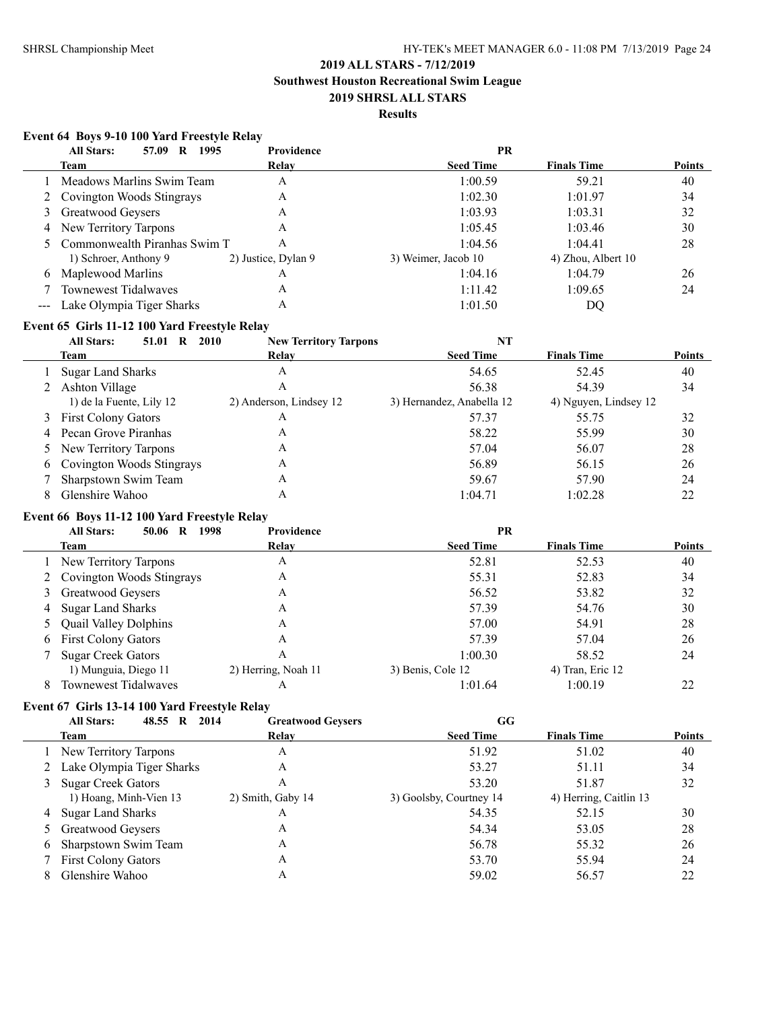**Southwest Houston Recreational Swim League**

### **2019 SHRSL ALL STARS Results**

### **Event 64 Boys 9-10 100 Yard Freestyle Relay**

|   | <b>All Stars:</b><br>1995<br>57.09<br>R | Providence          | PR                  |                    |               |
|---|-----------------------------------------|---------------------|---------------------|--------------------|---------------|
|   | Team                                    | Relay               | <b>Seed Time</b>    | <b>Finals Time</b> | <b>Points</b> |
|   | 1 Meadows Marlins Swim Team             | A                   | 1:00.59             | 59.21              | 40            |
|   | 2 Covington Woods Stingrays             | A                   | 1:02.30             | 1:01.97            | 34            |
|   | 3 Greatwood Geysers                     | A                   | 1:03.93             | 1:03.31            | 32            |
|   | 4 New Territory Tarpons                 | A                   | 1:05.45             | 1:03.46            | 30            |
|   | 5 Commonwealth Piranhas Swim T          | Α                   | 1:04.56             | 1:04.41            | 28            |
|   | 1) Schroer, Anthony 9                   | 2) Justice, Dylan 9 | 3) Weimer, Jacob 10 | 4) Zhou, Albert 10 |               |
| 6 | Maplewood Marlins                       | Α                   | 1:04.16             | 1:04.79            | 26            |
|   | <b>Townewest Tidalwaves</b>             | A                   | 1:11.42             | 1:09.65            | 24            |
|   | --- Lake Olympia Tiger Sharks           | Α                   | 1:01.50             | DO                 |               |

### **Event 65 Girls 11-12 100 Yard Freestyle Relay**

|   | <b>All Stars:</b><br>2010<br>51.01<br>R | <b>New Territory Tarpons</b> | NT                        |                       |               |
|---|-----------------------------------------|------------------------------|---------------------------|-----------------------|---------------|
|   | Team                                    | Relay                        | <b>Seed Time</b>          | <b>Finals Time</b>    | <b>Points</b> |
|   | <b>Sugar Land Sharks</b>                | A                            | 54.65                     | 52.45                 | 40            |
|   | Ashton Village                          | A                            | 56.38                     | 54.39                 | 34            |
|   | 1) de la Fuente, Lily 12                | 2) Anderson, Lindsey 12      | 3) Hernandez, Anabella 12 | 4) Nguyen, Lindsey 12 |               |
|   | 3 First Colony Gators                   | А                            | 57.37                     | 55.75                 | 32            |
|   | 4 Pecan Grove Piranhas                  | A                            | 58.22                     | 55.99                 | 30            |
|   | 5 New Territory Tarpons                 | A                            | 57.04                     | 56.07                 | 28            |
| 6 | Covington Woods Stingrays               | A                            | 56.89                     | 56.15                 | 26            |
|   | Sharpstown Swim Team                    | A                            | 59.67                     | 57.90                 | 24            |
| 8 | Glenshire Wahoo                         | Α                            | 1:04.71                   | 1:02.28               | 22            |

### **Event 66 Boys 11-12 100 Yard Freestyle Relay**

|   | 1998<br><b>All Stars:</b><br>50.06<br>R | Providence          | PR                |                    |               |
|---|-----------------------------------------|---------------------|-------------------|--------------------|---------------|
|   | Team                                    | Relay               | <b>Seed Time</b>  | <b>Finals Time</b> | <b>Points</b> |
|   | 1 New Territory Tarpons                 | A                   | 52.81             | 52.53              | 40            |
|   | 2 Covington Woods Stingrays             | А                   | 55.31             | 52.83              | 34            |
|   | 3 Greatwood Geysers                     | А                   | 56.52             | 53.82              | 32            |
| 4 | <b>Sugar Land Sharks</b>                | А                   | 57.39             | 54.76              | 30            |
|   | <b>Quail Valley Dolphins</b>            | А                   | 57.00             | 54.91              | 28            |
| 6 | <b>First Colony Gators</b>              | А                   | 57.39             | 57.04              | 26            |
|   | <b>Sugar Creek Gators</b>               | А                   | 1:00.30           | 58.52              | 24            |
|   | 1) Munguia, Diego 11                    | 2) Herring, Noah 11 | 3) Benis, Cole 12 | 4) Tran, Eric 12   |               |
| 8 | <b>Townewest Tidalwaves</b>             | А                   | 1:01.64           | 1:00.19            | 22            |

### **Event 67 Girls 13-14 100 Yard Freestyle Relay**

|   | 48.55 R<br>2014<br><b>All Stars:</b> | <b>Greatwood Geysers</b> | GG                      |                        |               |
|---|--------------------------------------|--------------------------|-------------------------|------------------------|---------------|
|   | Team                                 | Relav                    | <b>Seed Time</b>        | <b>Finals Time</b>     | <b>Points</b> |
|   | 1 New Territory Tarpons              | A                        | 51.92                   | 51.02                  | 40            |
|   | 2 Lake Olympia Tiger Sharks          | A                        | 53.27                   | 51.11                  | 34            |
|   | 3 Sugar Creek Gators                 | Α                        | 53.20                   | 51.87                  | 32            |
|   | 1) Hoang, Minh-Vien 13               | 2) Smith, Gaby 14        | 3) Goolsby, Courtney 14 | 4) Herring, Caitlin 13 |               |
|   | 4 Sugar Land Sharks                  | A                        | 54.35                   | 52.15                  | 30            |
|   | 5 Greatwood Geysers                  | A                        | 54.34                   | 53.05                  | 28            |
| 6 | Sharpstown Swim Team                 | A                        | 56.78                   | 55.32                  | 26            |
|   | <b>First Colony Gators</b>           | A                        | 53.70                   | 55.94                  | 24            |
|   | Glenshire Wahoo                      | Α                        | 59.02                   | 56.57                  | 22            |